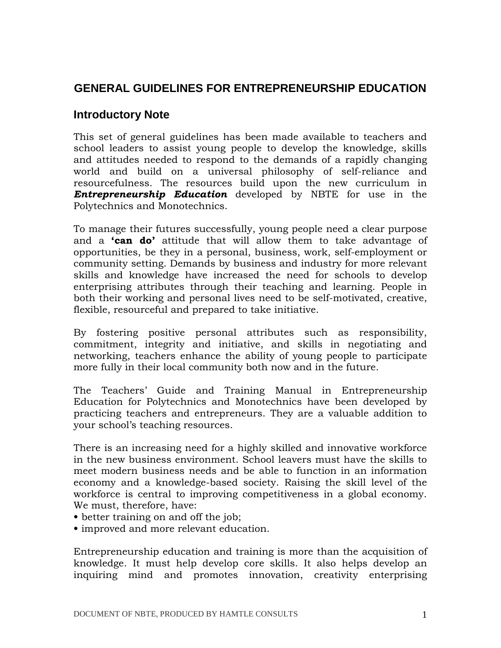# **GENERAL GUIDELINES FOR ENTREPRENEURSHIP EDUCATION**

# **Introductory Note**

This set of general guidelines has been made available to teachers and school leaders to assist young people to develop the knowledge, skills and attitudes needed to respond to the demands of a rapidly changing world and build on a universal philosophy of self-reliance and resourcefulness. The resources build upon the new curriculum in **Entrepreneurship Education** developed by NBTE for use in the Polytechnics and Monotechnics.

To manage their futures successfully, young people need a clear purpose and a **'can do'** attitude that will allow them to take advantage of opportunities, be they in a personal, business, work, self-employment or community setting. Demands by business and industry for more relevant skills and knowledge have increased the need for schools to develop enterprising attributes through their teaching and learning. People in both their working and personal lives need to be self-motivated, creative, flexible, resourceful and prepared to take initiative.

By fostering positive personal attributes such as responsibility, commitment, integrity and initiative, and skills in negotiating and networking, teachers enhance the ability of young people to participate more fully in their local community both now and in the future.

The Teachers' Guide and Training Manual in Entrepreneurship Education for Polytechnics and Monotechnics have been developed by practicing teachers and entrepreneurs. They are a valuable addition to your school's teaching resources.

There is an increasing need for a highly skilled and innovative workforce in the new business environment. School leavers must have the skills to meet modern business needs and be able to function in an information economy and a knowledge-based society. Raising the skill level of the workforce is central to improving competitiveness in a global economy. We must, therefore, have:

- better training on and off the job;
- improved and more relevant education.

Entrepreneurship education and training is more than the acquisition of knowledge. It must help develop core skills. It also helps develop an inquiring mind and promotes innovation, creativity enterprising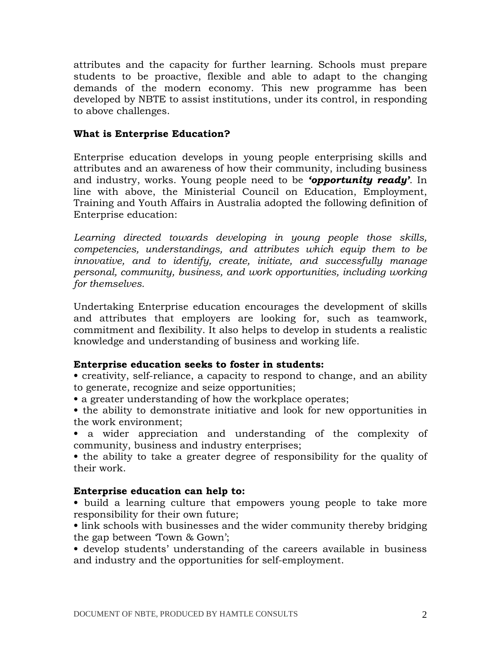attributes and the capacity for further learning. Schools must prepare students to be proactive, flexible and able to adapt to the changing demands of the modern economy. This new programme has been developed by NBTE to assist institutions, under its control, in responding to above challenges.

#### What is Enterprise Education?

Enterprise education develops in young people enterprising skills and attributes and an awareness of how their community, including business and industry, works. Young people need to be **'opportunity ready'**. In line with above, the Ministerial Council on Education, Employment, Training and Youth Affairs in Australia adopted the following definition of Enterprise education:

Learning directed towards developing in young people those skills, competencies, understandings, and attributes which equip them to be innovative, and to identify, create, initiate, and successfully manage personal, community, business, and work opportunities, including working for themselves.

Undertaking Enterprise education encourages the development of skills and attributes that employers are looking for, such as teamwork, commitment and flexibility. It also helps to develop in students a realistic knowledge and understanding of business and working life.

#### Enterprise education seeks to foster in students:

- creativity, self-reliance, a capacity to respond to change, and an ability to generate, recognize and seize opportunities;
- a greater understanding of how the workplace operates;
- the ability to demonstrate initiative and look for new opportunities in the work environment;
- a wider appreciation and understanding of the complexity of community, business and industry enterprises;

• the ability to take a greater degree of responsibility for the quality of their work.

# Enterprise education can help to:

• build a learning culture that empowers young people to take more responsibility for their own future;

• link schools with businesses and the wider community thereby bridging the gap between 'Town & Gown';

• develop students' understanding of the careers available in business and industry and the opportunities for self-employment.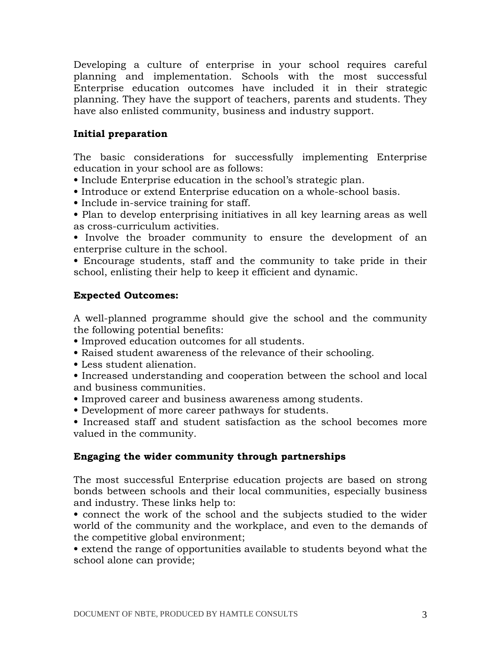Developing a culture of enterprise in your school requires careful planning and implementation. Schools with the most successful Enterprise education outcomes have included it in their strategic planning. They have the support of teachers, parents and students. They have also enlisted community, business and industry support.

### Initial preparation

The basic considerations for successfully implementing Enterprise education in your school are as follows:

- Include Enterprise education in the school's strategic plan.
- Introduce or extend Enterprise education on a whole-school basis.
- Include in-service training for staff.
- Plan to develop enterprising initiatives in all key learning areas as well as cross-curriculum activities.

• Involve the broader community to ensure the development of an enterprise culture in the school.

• Encourage students, staff and the community to take pride in their school, enlisting their help to keep it efficient and dynamic.

#### Expected Outcomes:

A well-planned programme should give the school and the community the following potential benefits:

- Improved education outcomes for all students.
- Raised student awareness of the relevance of their schooling.
- Less student alienation.
- Increased understanding and cooperation between the school and local and business communities.
- Improved career and business awareness among students.
- Development of more career pathways for students.

• Increased staff and student satisfaction as the school becomes more valued in the community.

# Engaging the wider community through partnerships

The most successful Enterprise education projects are based on strong bonds between schools and their local communities, especially business and industry. These links help to:

• connect the work of the school and the subjects studied to the wider world of the community and the workplace, and even to the demands of the competitive global environment;

• extend the range of opportunities available to students beyond what the school alone can provide;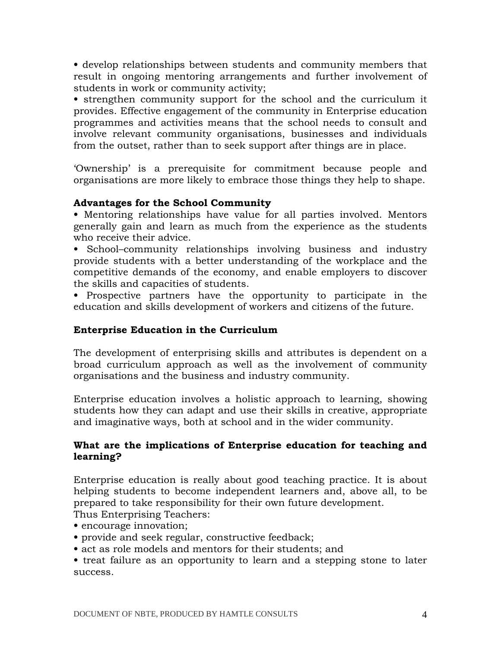• develop relationships between students and community members that result in ongoing mentoring arrangements and further involvement of students in work or community activity;

• strengthen community support for the school and the curriculum it provides. Effective engagement of the community in Enterprise education programmes and activities means that the school needs to consult and involve relevant community organisations, businesses and individuals from the outset, rather than to seek support after things are in place.

'Ownership' is a prerequisite for commitment because people and organisations are more likely to embrace those things they help to shape.

# Advantages for the School Community

• Mentoring relationships have value for all parties involved. Mentors generally gain and learn as much from the experience as the students who receive their advice.

• School–community relationships involving business and industry provide students with a better understanding of the workplace and the competitive demands of the economy, and enable employers to discover the skills and capacities of students.

• Prospective partners have the opportunity to participate in the education and skills development of workers and citizens of the future.

# Enterprise Education in the Curriculum

The development of enterprising skills and attributes is dependent on a broad curriculum approach as well as the involvement of community organisations and the business and industry community.

Enterprise education involves a holistic approach to learning, showing students how they can adapt and use their skills in creative, appropriate and imaginative ways, both at school and in the wider community.

# What are the implications of Enterprise education for teaching and learning?

Enterprise education is really about good teaching practice. It is about helping students to become independent learners and, above all, to be prepared to take responsibility for their own future development.

Thus Enterprising Teachers:

- encourage innovation;
- provide and seek regular, constructive feedback;
- act as role models and mentors for their students; and

• treat failure as an opportunity to learn and a stepping stone to later success.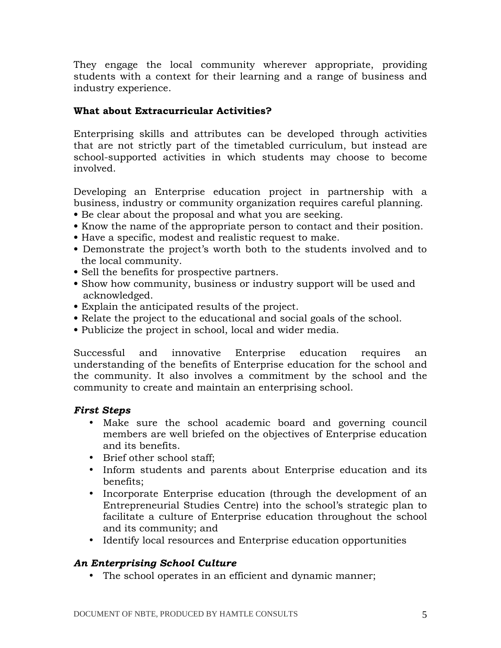They engage the local community wherever appropriate, providing students with a context for their learning and a range of business and industry experience.

# What about Extracurricular Activities?

Enterprising skills and attributes can be developed through activities that are not strictly part of the timetabled curriculum, but instead are school-supported activities in which students may choose to become involved.

Developing an Enterprise education project in partnership with a business, industry or community organization requires careful planning.

- Be clear about the proposal and what you are seeking.
- Know the name of the appropriate person to contact and their position.
- Have a specific, modest and realistic request to make.
- Demonstrate the project's worth both to the students involved and to the local community.
- Sell the benefits for prospective partners.
- Show how community, business or industry support will be used and acknowledged.
- Explain the anticipated results of the project.
- Relate the project to the educational and social goals of the school.
- Publicize the project in school, local and wider media.

Successful and innovative Enterprise education requires an understanding of the benefits of Enterprise education for the school and the community. It also involves a commitment by the school and the community to create and maintain an enterprising school.

# First Steps

- Make sure the school academic board and governing council members are well briefed on the objectives of Enterprise education and its benefits.
- Brief other school staff;
- Inform students and parents about Enterprise education and its benefits;
- Incorporate Enterprise education (through the development of an Entrepreneurial Studies Centre) into the school's strategic plan to facilitate a culture of Enterprise education throughout the school and its community; and
- Identify local resources and Enterprise education opportunities

# An Enterprising School Culture

• The school operates in an efficient and dynamic manner;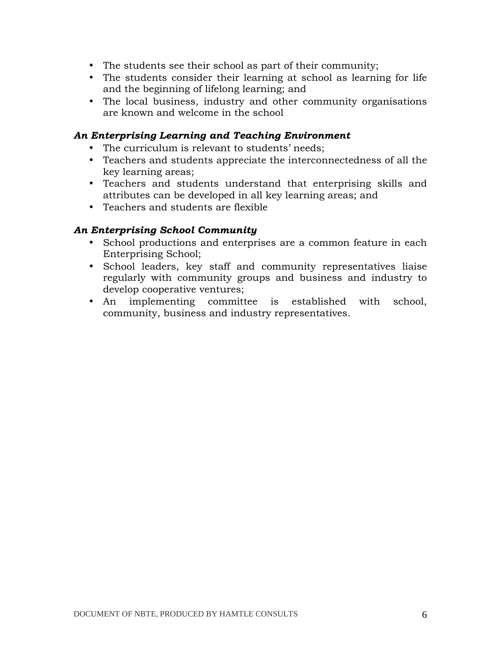- The students see their school as part of their community;
- The students consider their learning at school as learning for life and the beginning of lifelong learning; and
- The local business, industry and other community organisations are known and welcome in the school

### An Enterprising Learning and Teaching Environment

- The curriculum is relevant to students' needs;
- Teachers and students appreciate the interconnectedness of all the key learning areas;
- Teachers and students understand that enterprising skills and attributes can be developed in all key learning areas; and
- Teachers and students are flexible

#### An Enterprising School Community

- School productions and enterprises are a common feature in each Enterprising School;
- School leaders, key staff and community representatives liaise regularly with community groups and business and industry to develop cooperative ventures;
- An implementing committee is established with school, community, business and industry representatives.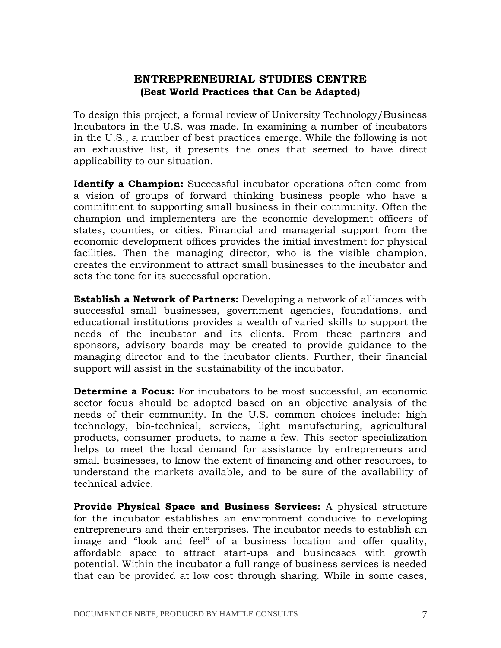# ENTREPRENEURIAL STUDIES CENTRE (Best World Practices that Can be Adapted)

To design this project, a formal review of University Technology/Business Incubators in the U.S. was made. In examining a number of incubators in the U.S., a number of best practices emerge. While the following is not an exhaustive list, it presents the ones that seemed to have direct applicability to our situation.

Identify a Champion: Successful incubator operations often come from a vision of groups of forward thinking business people who have a commitment to supporting small business in their community. Often the champion and implementers are the economic development officers of states, counties, or cities. Financial and managerial support from the economic development offices provides the initial investment for physical facilities. Then the managing director, who is the visible champion, creates the environment to attract small businesses to the incubator and sets the tone for its successful operation.

**Establish a Network of Partners:** Developing a network of alliances with successful small businesses, government agencies, foundations, and educational institutions provides a wealth of varied skills to support the needs of the incubator and its clients. From these partners and sponsors, advisory boards may be created to provide guidance to the managing director and to the incubator clients. Further, their financial support will assist in the sustainability of the incubator.

**Determine a Focus:** For incubators to be most successful, an economic sector focus should be adopted based on an objective analysis of the needs of their community. In the U.S. common choices include: high technology, bio-technical, services, light manufacturing, agricultural products, consumer products, to name a few. This sector specialization helps to meet the local demand for assistance by entrepreneurs and small businesses, to know the extent of financing and other resources, to understand the markets available, and to be sure of the availability of technical advice.

**Provide Physical Space and Business Services:** A physical structure for the incubator establishes an environment conducive to developing entrepreneurs and their enterprises. The incubator needs to establish an image and "look and feel" of a business location and offer quality, affordable space to attract start-ups and businesses with growth potential. Within the incubator a full range of business services is needed that can be provided at low cost through sharing. While in some cases,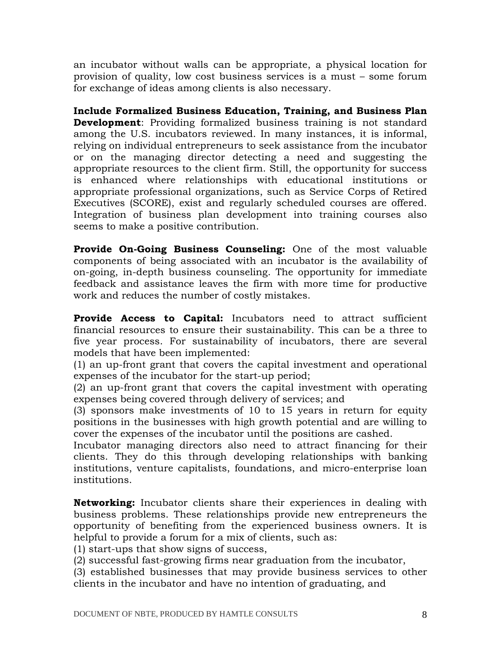an incubator without walls can be appropriate, a physical location for provision of quality, low cost business services is a must – some forum for exchange of ideas among clients is also necessary.

Include Formalized Business Education, Training, and Business Plan **Development:** Providing formalized business training is not standard among the U.S. incubators reviewed. In many instances, it is informal, relying on individual entrepreneurs to seek assistance from the incubator or on the managing director detecting a need and suggesting the appropriate resources to the client firm. Still, the opportunity for success is enhanced where relationships with educational institutions or appropriate professional organizations, such as Service Corps of Retired Executives (SCORE), exist and regularly scheduled courses are offered. Integration of business plan development into training courses also seems to make a positive contribution.

Provide On-Going Business Counseling: One of the most valuable components of being associated with an incubator is the availability of on-going, in-depth business counseling. The opportunity for immediate feedback and assistance leaves the firm with more time for productive work and reduces the number of costly mistakes.

Provide Access to Capital: Incubators need to attract sufficient financial resources to ensure their sustainability. This can be a three to five year process. For sustainability of incubators, there are several models that have been implemented:

(1) an up-front grant that covers the capital investment and operational expenses of the incubator for the start-up period;

(2) an up-front grant that covers the capital investment with operating expenses being covered through delivery of services; and

(3) sponsors make investments of 10 to 15 years in return for equity positions in the businesses with high growth potential and are willing to cover the expenses of the incubator until the positions are cashed.

Incubator managing directors also need to attract financing for their clients. They do this through developing relationships with banking institutions, venture capitalists, foundations, and micro-enterprise loan institutions.

**Networking:** Incubator clients share their experiences in dealing with business problems. These relationships provide new entrepreneurs the opportunity of benefiting from the experienced business owners. It is helpful to provide a forum for a mix of clients, such as:

(1) start-ups that show signs of success,

(2) successful fast-growing firms near graduation from the incubator,

(3) established businesses that may provide business services to other clients in the incubator and have no intention of graduating, and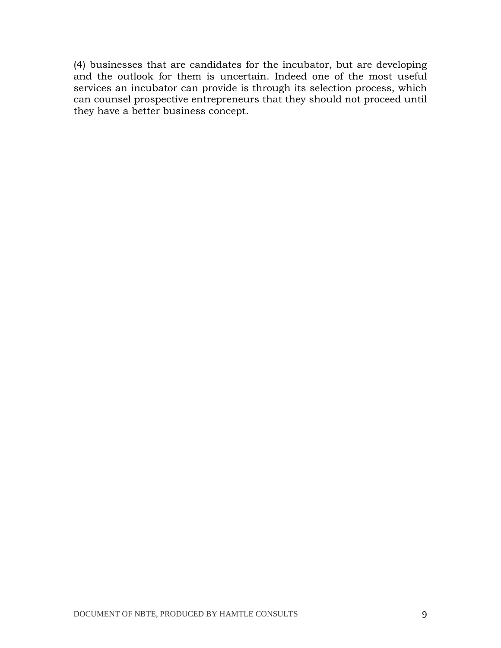(4) businesses that are candidates for the incubator, but are developing and the outlook for them is uncertain. Indeed one of the most useful services an incubator can provide is through its selection process, which can counsel prospective entrepreneurs that they should not proceed until they have a better business concept.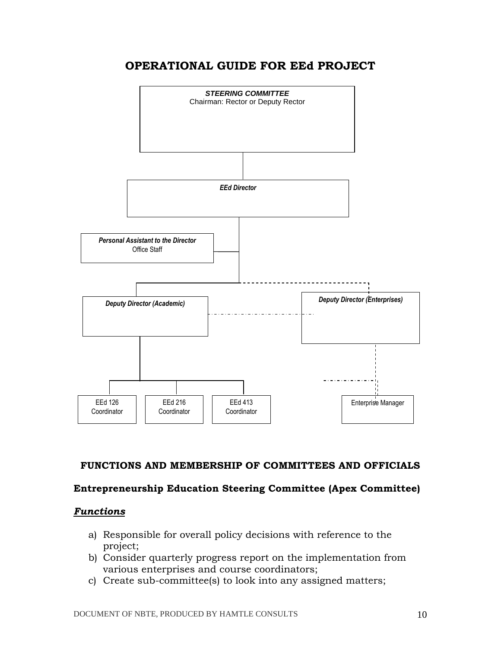# OPERATIONAL GUIDE FOR EEd PROJECT



# FUNCTIONS AND MEMBERSHIP OF COMMITTEES AND OFFICIALS

#### Entrepreneurship Education Steering Committee (Apex Committee)

# **Functions**

- a) Responsible for overall policy decisions with reference to the project;
- b) Consider quarterly progress report on the implementation from various enterprises and course coordinators;
- c) Create sub-committee(s) to look into any assigned matters;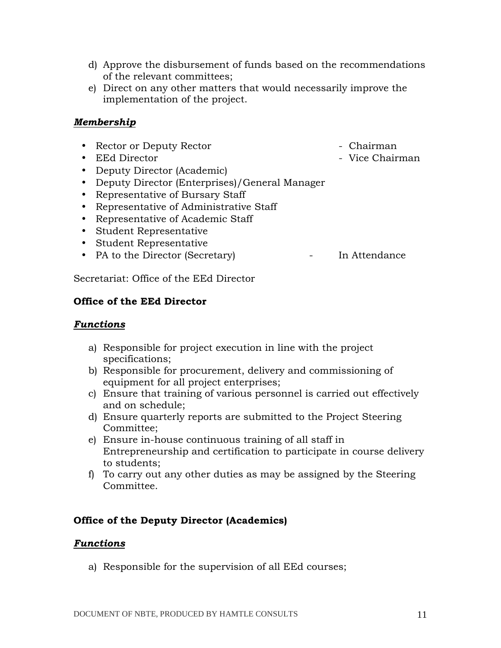- d) Approve the disbursement of funds based on the recommendations of the relevant committees;
- e) Direct on any other matters that would necessarily improve the implementation of the project.

#### Membership

- Rector or Deputy Rector  **Chairman**
- 
- Deputy Director (Academic)
- Deputy Director (Enterprises)/General Manager
- Representative of Bursary Staff
- Representative of Administrative Staff
- Representative of Academic Staff
- Student Representative
- Student Representative
- PA to the Director (Secretary) In Attendance

Secretariat: Office of the EEd Director

#### Office of the EEd Director

#### Functions

- a) Responsible for project execution in line with the project specifications;
- b) Responsible for procurement, delivery and commissioning of equipment for all project enterprises;
- c) Ensure that training of various personnel is carried out effectively and on schedule;
- d) Ensure quarterly reports are submitted to the Project Steering Committee;
- e) Ensure in-house continuous training of all staff in Entrepreneurship and certification to participate in course delivery to students;
- f) To carry out any other duties as may be assigned by the Steering Committee.

#### Office of the Deputy Director (Academics)

#### Functions

a) Responsible for the supervision of all EEd courses;

- 
- EEd Director Vice Chairman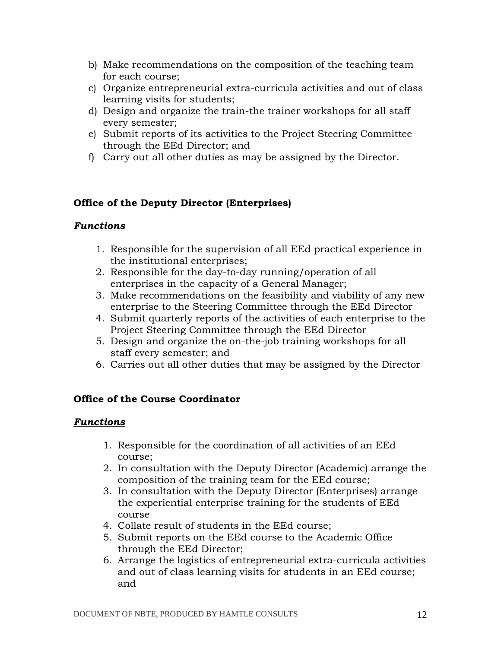- b) Make recommendations on the composition of the teaching team for each course;
- c) Organize entrepreneurial extra-curricula activities and out of class learning visits for students;
- d) Design and organize the train-the trainer workshops for all staff every semester;
- e) Submit reports of its activities to the Project Steering Committee through the EEd Director; and
- f) Carry out all other duties as may be assigned by the Director.

# Office of the Deputy Director (Enterprises)

# Functions

- 1. Responsible for the supervision of all EEd practical experience in the institutional enterprises;
- 2. Responsible for the day-to-day running/operation of all enterprises in the capacity of a General Manager;
- 3. Make recommendations on the feasibility and viability of any new enterprise to the Steering Committee through the EEd Director
- 4. Submit quarterly reports of the activities of each enterprise to the Project Steering Committee through the EEd Director
- 5. Design and organize the on-the-job training workshops for all staff every semester; and
- 6. Carries out all other duties that may be assigned by the Director

# Office of the Course Coordinator

#### Functions

- 1. Responsible for the coordination of all activities of an EEd course;
- 2. In consultation with the Deputy Director (Academic) arrange the composition of the training team for the EEd course;
- 3. In consultation with the Deputy Director (Enterprises) arrange the experiential enterprise training for the students of EEd course
- 4. Collate result of students in the EEd course;
- 5. Submit reports on the EEd course to the Academic Office through the EEd Director;
- 6. Arrange the logistics of entrepreneurial extra-curricula activities and out of class learning visits for students in an EEd course; and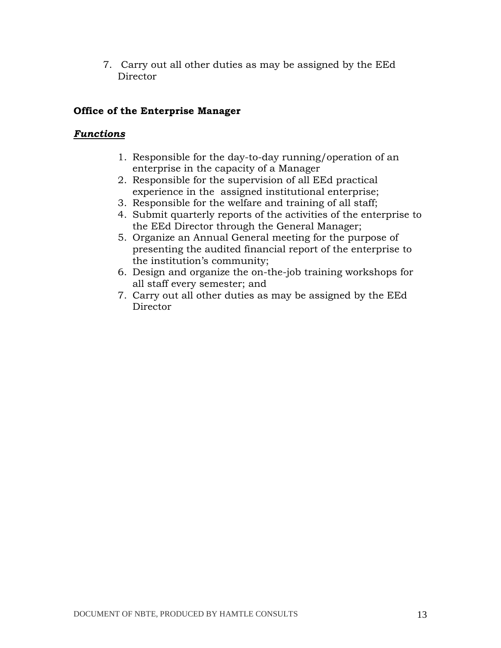7. Carry out all other duties as may be assigned by the EEd **Director** 

### Office of the Enterprise Manager

### Functions

- 1. Responsible for the day-to-day running/operation of an enterprise in the capacity of a Manager
- 2. Responsible for the supervision of all EEd practical experience in the assigned institutional enterprise;
- 3. Responsible for the welfare and training of all staff;
- 4. Submit quarterly reports of the activities of the enterprise to the EEd Director through the General Manager;
- 5. Organize an Annual General meeting for the purpose of presenting the audited financial report of the enterprise to the institution's community;
- 6. Design and organize the on-the-job training workshops for all staff every semester; and
- 7. Carry out all other duties as may be assigned by the EEd Director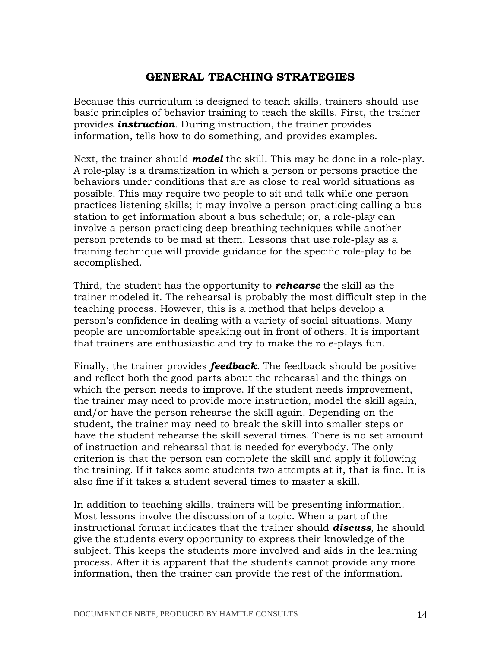# GENERAL TEACHING STRATEGIES

Because this curriculum is designed to teach skills, trainers should use basic principles of behavior training to teach the skills. First, the trainer provides **instruction**. During instruction, the trainer provides information, tells how to do something, and provides examples.

Next, the trainer should **model** the skill. This may be done in a role-play. A role-play is a dramatization in which a person or persons practice the behaviors under conditions that are as close to real world situations as possible. This may require two people to sit and talk while one person practices listening skills; it may involve a person practicing calling a bus station to get information about a bus schedule; or, a role-play can involve a person practicing deep breathing techniques while another person pretends to be mad at them. Lessons that use role-play as a training technique will provide guidance for the specific role-play to be accomplished.

Third, the student has the opportunity to **rehearse** the skill as the trainer modeled it. The rehearsal is probably the most difficult step in the teaching process. However, this is a method that helps develop a person's confidence in dealing with a variety of social situations. Many people are uncomfortable speaking out in front of others. It is important that trainers are enthusiastic and try to make the role-plays fun.

Finally, the trainer provides **feedback**. The feedback should be positive and reflect both the good parts about the rehearsal and the things on which the person needs to improve. If the student needs improvement, the trainer may need to provide more instruction, model the skill again, and/or have the person rehearse the skill again. Depending on the student, the trainer may need to break the skill into smaller steps or have the student rehearse the skill several times. There is no set amount of instruction and rehearsal that is needed for everybody. The only criterion is that the person can complete the skill and apply it following the training. If it takes some students two attempts at it, that is fine. It is also fine if it takes a student several times to master a skill.

In addition to teaching skills, trainers will be presenting information. Most lessons involve the discussion of a topic. When a part of the instructional format indicates that the trainer should **discuss**, he should give the students every opportunity to express their knowledge of the subject. This keeps the students more involved and aids in the learning process. After it is apparent that the students cannot provide any more information, then the trainer can provide the rest of the information.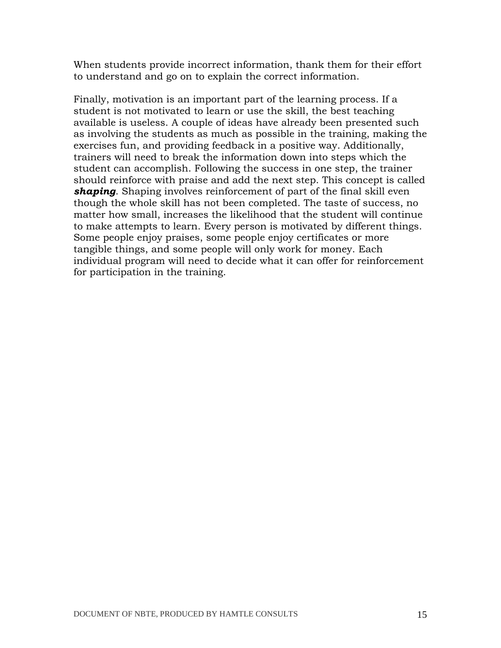When students provide incorrect information, thank them for their effort to understand and go on to explain the correct information.

Finally, motivation is an important part of the learning process. If a student is not motivated to learn or use the skill, the best teaching available is useless. A couple of ideas have already been presented such as involving the students as much as possible in the training, making the exercises fun, and providing feedback in a positive way. Additionally, trainers will need to break the information down into steps which the student can accomplish. Following the success in one step, the trainer should reinforce with praise and add the next step. This concept is called shaping. Shaping involves reinforcement of part of the final skill even though the whole skill has not been completed. The taste of success, no matter how small, increases the likelihood that the student will continue to make attempts to learn. Every person is motivated by different things. Some people enjoy praises, some people enjoy certificates or more tangible things, and some people will only work for money. Each individual program will need to decide what it can offer for reinforcement for participation in the training.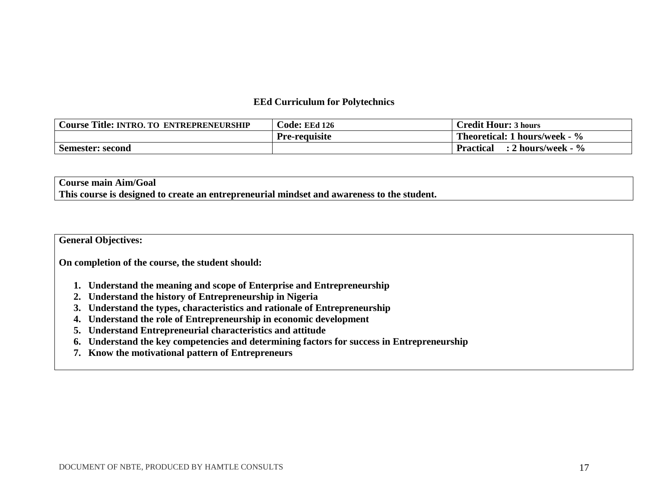#### **EEd Curriculum for Polytechnics**

| <b>Course Title: INTRO. TO ENTREPRENEURSHIP</b> | <b>Code: EEd 126</b> | <b>Credit Hour: 3 hours</b>                        |
|-------------------------------------------------|----------------------|----------------------------------------------------|
|                                                 | <b>Pre-requisite</b> | <b>Theoretical: 1 hours/week - <math>\%</math></b> |
| <b>Semester: second</b>                         |                      | : 2 hours/week - %<br><b>Practical</b>             |

#### **Course main Aim/Goal This course is designed to create an entrepreneurial mindset and awareness to the student.**

**General Objectives:** 

**On completion of the course, the student should:** 

- **1. Understand the meaning and scope of Enterprise and Entrepreneurship**
- **2. Understand the history of Entrepreneurship in Nigeria**
- **3. Understand the types, characteristics and rationale of Entrepreneurship**
- **4. Understand the role of Entrepreneurship in economic development**
- **5. Understand Entrepreneurial characteristics and attitude**
- **6. Understand the key competencies and determining factors for success in Entrepreneurship**
- **7. Know the motivational pattern of Entrepreneurs**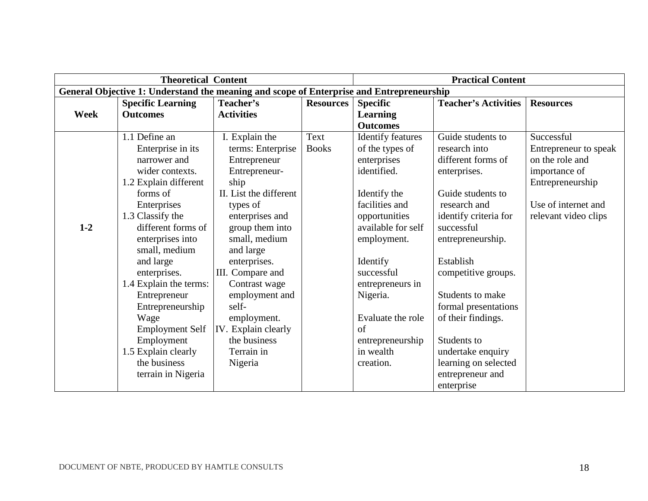|         | <b>Theoretical Content</b>                                                               |                        |                  | <b>Practical Content</b> |                             |                       |  |
|---------|------------------------------------------------------------------------------------------|------------------------|------------------|--------------------------|-----------------------------|-----------------------|--|
|         | General Objective 1: Understand the meaning and scope of Enterprise and Entrepreneurship |                        |                  |                          |                             |                       |  |
|         | <b>Specific Learning</b>                                                                 | Teacher's              | <b>Resources</b> | <b>Specific</b>          | <b>Teacher's Activities</b> | <b>Resources</b>      |  |
| Week    | <b>Outcomes</b>                                                                          | <b>Activities</b>      |                  | <b>Learning</b>          |                             |                       |  |
|         |                                                                                          |                        |                  | <b>Outcomes</b>          |                             |                       |  |
|         | 1.1 Define an                                                                            | I. Explain the         | Text             | <b>Identify features</b> | Guide students to           | Successful            |  |
|         | Enterprise in its                                                                        | terms: Enterprise      | <b>Books</b>     | of the types of          | research into               | Entrepreneur to speak |  |
|         | narrower and                                                                             | Entrepreneur           |                  | enterprises              | different forms of          | on the role and       |  |
|         | wider contexts.                                                                          | Entrepreneur-          |                  | identified.              | enterprises.                | importance of         |  |
|         | 1.2 Explain different                                                                    | ship                   |                  |                          |                             | Entrepreneurship      |  |
|         | forms of                                                                                 | II. List the different |                  | Identify the             | Guide students to           |                       |  |
|         | Enterprises                                                                              | types of               |                  | facilities and           | research and                | Use of internet and   |  |
|         | 1.3 Classify the                                                                         | enterprises and        |                  | opportunities            | identify criteria for       | relevant video clips  |  |
| $1 - 2$ | different forms of                                                                       | group them into        |                  | available for self       | successful                  |                       |  |
|         | enterprises into                                                                         | small, medium          |                  | employment.              | entrepreneurship.           |                       |  |
|         | small, medium                                                                            | and large              |                  |                          |                             |                       |  |
|         | and large                                                                                | enterprises.           |                  | Identify                 | Establish                   |                       |  |
|         | enterprises.                                                                             | III. Compare and       |                  | successful               | competitive groups.         |                       |  |
|         | 1.4 Explain the terms:                                                                   | Contrast wage          |                  | entrepreneurs in         |                             |                       |  |
|         | Entrepreneur                                                                             | employment and         |                  | Nigeria.                 | Students to make            |                       |  |
|         | Entrepreneurship                                                                         | self-                  |                  |                          | formal presentations        |                       |  |
|         | Wage                                                                                     | employment.            |                  | Evaluate the role        | of their findings.          |                       |  |
|         | <b>Employment Self</b>                                                                   | IV. Explain clearly    |                  | of                       |                             |                       |  |
|         | Employment                                                                               | the business           |                  | entrepreneurship         | Students to                 |                       |  |
|         | 1.5 Explain clearly                                                                      | Terrain in             |                  | in wealth                | undertake enquiry           |                       |  |
|         | the business                                                                             | Nigeria                |                  | creation.                | learning on selected        |                       |  |
|         | terrain in Nigeria                                                                       |                        |                  |                          | entrepreneur and            |                       |  |
|         |                                                                                          |                        |                  |                          | enterprise                  |                       |  |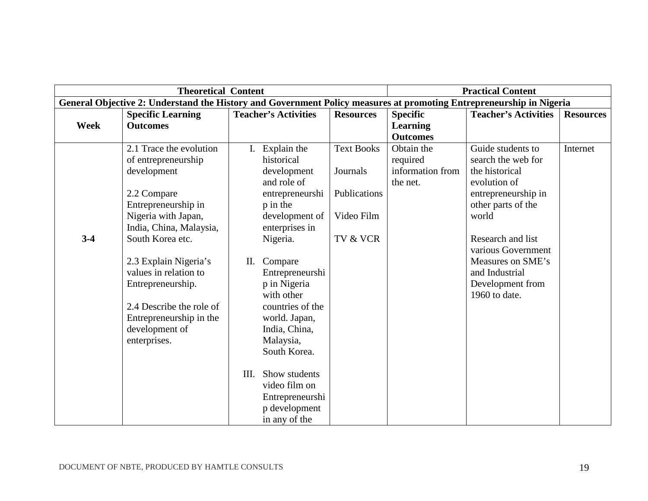|         | <b>Theoretical Content</b>                                                                                          |      |                             |                   |                  | <b>Practical Content</b>    |                  |
|---------|---------------------------------------------------------------------------------------------------------------------|------|-----------------------------|-------------------|------------------|-----------------------------|------------------|
|         | General Objective 2: Understand the History and Government Policy measures at promoting Entrepreneurship in Nigeria |      |                             |                   |                  |                             |                  |
|         | <b>Specific Learning</b>                                                                                            |      | <b>Teacher's Activities</b> | <b>Resources</b>  | <b>Specific</b>  | <b>Teacher's Activities</b> | <b>Resources</b> |
| Week    | <b>Outcomes</b>                                                                                                     |      |                             |                   | <b>Learning</b>  |                             |                  |
|         |                                                                                                                     |      |                             |                   | <b>Outcomes</b>  |                             |                  |
|         | 2.1 Trace the evolution                                                                                             |      | Explain the                 | <b>Text Books</b> | Obtain the       | Guide students to           | Internet         |
|         | of entrepreneurship                                                                                                 |      | historical                  |                   | required         | search the web for          |                  |
|         | development                                                                                                         |      | development                 | Journals          | information from | the historical              |                  |
|         |                                                                                                                     |      | and role of                 |                   | the net.         | evolution of                |                  |
|         | 2.2 Compare                                                                                                         |      | entrepreneurshi             | Publications      |                  | entrepreneurship in         |                  |
|         | Entrepreneurship in                                                                                                 |      | p in the                    |                   |                  | other parts of the          |                  |
|         | Nigeria with Japan,                                                                                                 |      | development of              | Video Film        |                  | world                       |                  |
|         | India, China, Malaysia,                                                                                             |      | enterprises in              |                   |                  |                             |                  |
| $3 - 4$ | South Korea etc.                                                                                                    |      | Nigeria.                    | TV & VCR          |                  | Research and list           |                  |
|         |                                                                                                                     |      |                             |                   |                  | various Government          |                  |
|         | 2.3 Explain Nigeria's                                                                                               | П.   | Compare                     |                   |                  | Measures on SME's           |                  |
|         | values in relation to                                                                                               |      | Entrepreneurshi             |                   |                  | and Industrial              |                  |
|         | Entrepreneurship.                                                                                                   |      | p in Nigeria                |                   |                  | Development from            |                  |
|         |                                                                                                                     |      | with other                  |                   |                  | 1960 to date.               |                  |
|         | 2.4 Describe the role of                                                                                            |      | countries of the            |                   |                  |                             |                  |
|         | Entrepreneurship in the                                                                                             |      | world. Japan,               |                   |                  |                             |                  |
|         | development of                                                                                                      |      | India, China,               |                   |                  |                             |                  |
|         | enterprises.                                                                                                        |      | Malaysia,                   |                   |                  |                             |                  |
|         |                                                                                                                     |      | South Korea.                |                   |                  |                             |                  |
|         |                                                                                                                     |      |                             |                   |                  |                             |                  |
|         |                                                                                                                     | III. | Show students               |                   |                  |                             |                  |
|         |                                                                                                                     |      | video film on               |                   |                  |                             |                  |
|         |                                                                                                                     |      | Entrepreneurshi             |                   |                  |                             |                  |
|         |                                                                                                                     |      | p development               |                   |                  |                             |                  |
|         |                                                                                                                     |      | in any of the               |                   |                  |                             |                  |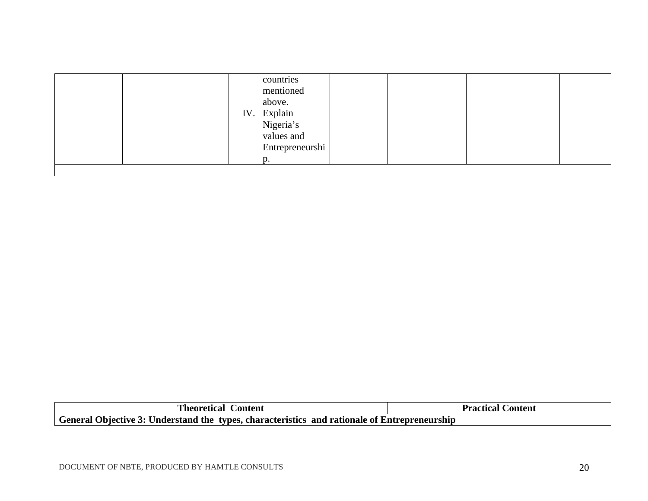|  |  | countries<br>mentioned<br>above.<br>IV. Explain<br>Nigeria's<br>values and<br>Entrepreneurshi<br>$\mathbf{D}$ . |  |  |  |
|--|--|-----------------------------------------------------------------------------------------------------------------|--|--|--|
|--|--|-----------------------------------------------------------------------------------------------------------------|--|--|--|

| l'heoretical Content                                                                         | <b>Practical Content</b> |
|----------------------------------------------------------------------------------------------|--------------------------|
| General Objective 3: Understand the types, characteristics and rationale of Entrepreneurship |                          |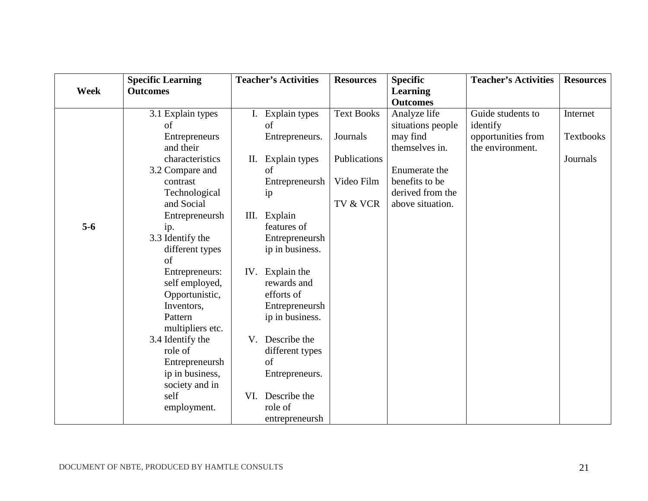|             | <b>Specific Learning</b> |      | <b>Teacher's Activities</b> | <b>Resources</b>  | <b>Specific</b>   | <b>Teacher's Activities</b> | <b>Resources</b> |
|-------------|--------------------------|------|-----------------------------|-------------------|-------------------|-----------------------------|------------------|
| <b>Week</b> | <b>Outcomes</b>          |      |                             |                   | <b>Learning</b>   |                             |                  |
|             |                          |      |                             |                   | <b>Outcomes</b>   |                             |                  |
|             | 3.1 Explain types        |      | I. Explain types            | <b>Text Books</b> | Analyze life      | Guide students to           | Internet         |
|             | of                       |      | of                          |                   | situations people | identify                    |                  |
|             | Entrepreneurs            |      | Entrepreneurs.              | Journals          | may find          | opportunities from          | <b>Textbooks</b> |
|             | and their                |      |                             |                   | themselves in.    | the environment.            |                  |
|             | characteristics          | П.   | Explain types               | Publications      |                   |                             | Journals         |
|             | 3.2 Compare and          |      | of                          |                   | Enumerate the     |                             |                  |
|             | contrast                 |      | Entrepreneursh              | Video Film        | benefits to be    |                             |                  |
|             | Technological            |      | ip                          |                   | derived from the  |                             |                  |
|             | and Social               |      |                             | TV & VCR          | above situation.  |                             |                  |
|             | Entrepreneursh           | III. | Explain                     |                   |                   |                             |                  |
| $5-6$       | ip.                      |      | features of                 |                   |                   |                             |                  |
|             | 3.3 Identify the         |      | Entrepreneursh              |                   |                   |                             |                  |
|             | different types          |      | ip in business.             |                   |                   |                             |                  |
|             | of                       |      |                             |                   |                   |                             |                  |
|             | Entrepreneurs:           | IV.  | Explain the                 |                   |                   |                             |                  |
|             | self employed,           |      | rewards and                 |                   |                   |                             |                  |
|             | Opportunistic,           |      | efforts of                  |                   |                   |                             |                  |
|             | Inventors,               |      | Entrepreneursh              |                   |                   |                             |                  |
|             | Pattern                  |      | ip in business.             |                   |                   |                             |                  |
|             | multipliers etc.         |      |                             |                   |                   |                             |                  |
|             | 3.4 Identify the         | V.   | Describe the                |                   |                   |                             |                  |
|             | role of                  |      | different types             |                   |                   |                             |                  |
|             | Entrepreneursh           |      | of                          |                   |                   |                             |                  |
|             | ip in business,          |      | Entrepreneurs.              |                   |                   |                             |                  |
|             | society and in           |      |                             |                   |                   |                             |                  |
|             | self                     | VI.  | Describe the                |                   |                   |                             |                  |
|             | employment.              |      | role of                     |                   |                   |                             |                  |
|             |                          |      | entrepreneursh              |                   |                   |                             |                  |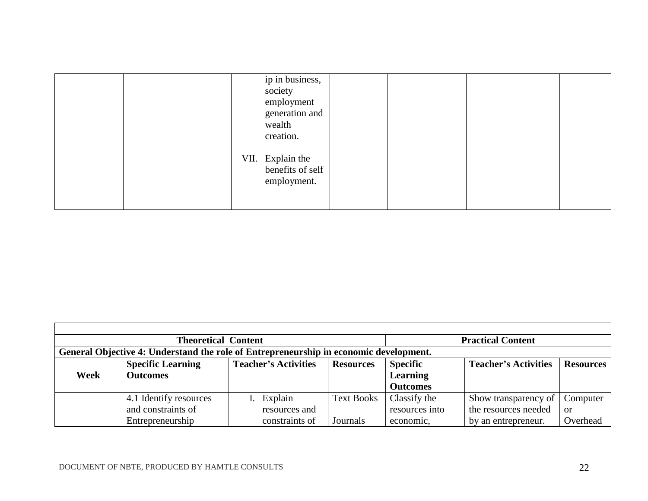|  | ip in business,<br>society<br>employment<br>generation and<br>wealth<br>creation. |  |  |
|--|-----------------------------------------------------------------------------------|--|--|
|  | VII. Explain the<br>benefits of self<br>employment.                               |  |  |

|                                                                                       | <b>Theoretical Content</b> | <b>Practical Content</b>    |                   |                 |                             |                  |
|---------------------------------------------------------------------------------------|----------------------------|-----------------------------|-------------------|-----------------|-----------------------------|------------------|
| General Objective 4: Understand the role of Entrepreneurship in economic development. |                            |                             |                   |                 |                             |                  |
|                                                                                       | <b>Specific Learning</b>   | <b>Teacher's Activities</b> | <b>Resources</b>  | <b>Specific</b> | <b>Teacher's Activities</b> | <b>Resources</b> |
| Week                                                                                  | <b>Outcomes</b>            |                             |                   | <b>Learning</b> |                             |                  |
|                                                                                       |                            |                             |                   | <b>Outcomes</b> |                             |                  |
|                                                                                       | 4.1 Identify resources     | Explain                     | <b>Text Books</b> | Classify the    | Show transparency of        | Computer         |
|                                                                                       | and constraints of         | resources and               |                   | resources into  | the resources needed        | or               |
|                                                                                       | Entrepreneurship           | constraints of              | Journals          | economic,       | by an entrepreneur.         | Overhead         |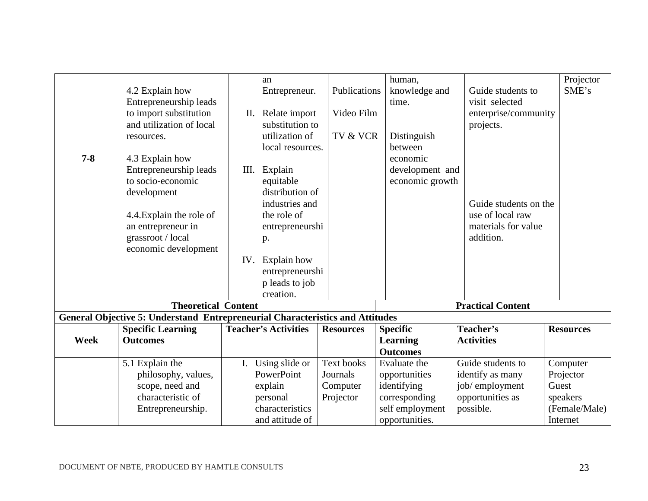|         |                                                                               |      | an                          |                   | human,                      |                          | Projector        |
|---------|-------------------------------------------------------------------------------|------|-----------------------------|-------------------|-----------------------------|--------------------------|------------------|
|         | 4.2 Explain how                                                               |      | Entrepreneur.               | Publications      | knowledge and               | Guide students to        | SME's            |
|         | Entrepreneurship leads                                                        |      |                             |                   | time.                       | visit selected           |                  |
|         | to import substitution                                                        | П.   | Relate import               | Video Film        |                             | enterprise/community     |                  |
|         | and utilization of local                                                      |      | substitution to             |                   |                             | projects.                |                  |
|         |                                                                               |      | utilization of              | TV & VCR          | Distinguish                 |                          |                  |
|         | resources.                                                                    |      | local resources.            |                   | between                     |                          |                  |
| $7 - 8$ | 4.3 Explain how                                                               |      |                             |                   | economic                    |                          |                  |
|         | Entrepreneurship leads                                                        | III. | Explain                     |                   | development and             |                          |                  |
|         | to socio-economic                                                             |      | equitable                   |                   | economic growth             |                          |                  |
|         |                                                                               |      | distribution of             |                   |                             |                          |                  |
|         | development                                                                   |      | industries and              |                   |                             | Guide students on the    |                  |
|         |                                                                               |      | the role of                 |                   |                             | use of local raw         |                  |
|         | 4.4. Explain the role of                                                      |      |                             |                   |                             | materials for value      |                  |
|         | an entrepreneur in                                                            |      | entrepreneurshi             |                   |                             |                          |                  |
|         | grassroot / local                                                             |      | p.                          |                   |                             | addition.                |                  |
|         | economic development                                                          |      |                             |                   |                             |                          |                  |
|         |                                                                               | IV.  | Explain how                 |                   |                             |                          |                  |
|         |                                                                               |      | entrepreneurshi             |                   |                             |                          |                  |
|         |                                                                               |      | p leads to job              |                   |                             |                          |                  |
|         |                                                                               |      | creation.                   |                   |                             |                          |                  |
|         | <b>Theoretical Content</b>                                                    |      |                             |                   |                             | <b>Practical Content</b> |                  |
|         | General Objective 5: Understand Entrepreneurial Characteristics and Attitudes |      |                             |                   |                             | Teacher's                |                  |
| Week    | <b>Specific Learning</b>                                                      |      | <b>Teacher's Activities</b> | <b>Resources</b>  | <b>Specific</b>             | <b>Activities</b>        | <b>Resources</b> |
|         | <b>Outcomes</b>                                                               |      |                             |                   | Learning<br><b>Outcomes</b> |                          |                  |
|         |                                                                               |      |                             | <b>Text books</b> | Evaluate the                | Guide students to        |                  |
|         | 5.1 Explain the                                                               |      | I. Using slide or           |                   |                             |                          | Computer         |
|         | philosophy, values,                                                           |      | PowerPoint                  | Journals          | opportunities               | identify as many         | Projector        |
|         | scope, need and                                                               |      | explain                     | Computer          | identifying                 | job/employment           | Guest            |
|         | characteristic of                                                             |      | personal                    | Projector         | corresponding               | opportunities as         | speakers         |
|         | Entrepreneurship.                                                             |      | characteristics             |                   | self employment             | possible.                | (Female/Male)    |
|         |                                                                               |      | and attitude of             |                   | opportunities.              |                          | Internet         |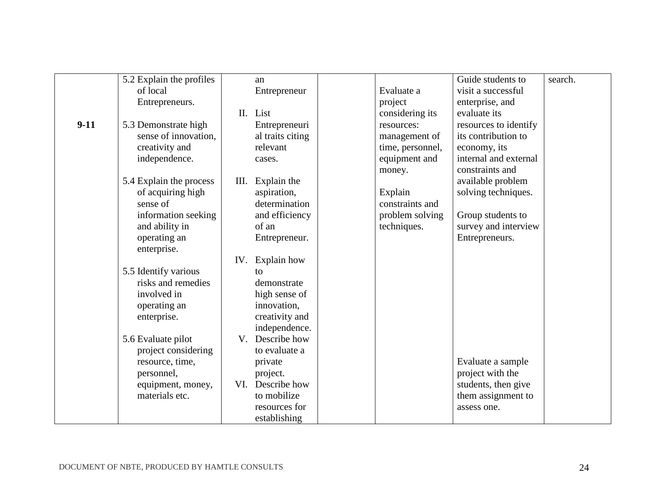|        | 5.2 Explain the profiles |             | an               |                  | Guide students to     | search. |
|--------|--------------------------|-------------|------------------|------------------|-----------------------|---------|
|        | of local                 |             | Entrepreneur     | Evaluate a       | visit a successful    |         |
|        | Entrepreneurs.           |             |                  | project          | enterprise, and       |         |
|        |                          | II.         | List             | considering its  | evaluate its          |         |
| $9-11$ | 5.3 Demonstrate high     |             | Entrepreneuri    | resources:       | resources to identify |         |
|        | sense of innovation,     |             | al traits citing | management of    | its contribution to   |         |
|        | creativity and           |             | relevant         | time, personnel, | economy, its          |         |
|        | independence.            |             | cases.           | equipment and    | internal and external |         |
|        |                          |             |                  | money.           | constraints and       |         |
|        | 5.4 Explain the process  | Ш.          | Explain the      |                  | available problem     |         |
|        | of acquiring high        |             | aspiration,      | Explain          | solving techniques.   |         |
|        | sense of                 |             | determination    | constraints and  |                       |         |
|        | information seeking      |             | and efficiency   | problem solving  | Group students to     |         |
|        | and ability in           |             | of an            | techniques.      | survey and interview  |         |
|        | operating an             |             | Entrepreneur.    |                  | Entrepreneurs.        |         |
|        | enterprise.              |             |                  |                  |                       |         |
|        |                          | IV.         | Explain how      |                  |                       |         |
|        | 5.5 Identify various     |             | $\mathsf{to}$    |                  |                       |         |
|        | risks and remedies       |             | demonstrate      |                  |                       |         |
|        | involved in              |             | high sense of    |                  |                       |         |
|        | operating an             |             | innovation,      |                  |                       |         |
|        | enterprise.              |             | creativity and   |                  |                       |         |
|        |                          |             | independence.    |                  |                       |         |
|        | 5.6 Evaluate pilot       | $V_{\cdot}$ | Describe how     |                  |                       |         |
|        | project considering      |             | to evaluate a    |                  |                       |         |
|        | resource, time,          |             | private          |                  | Evaluate a sample     |         |
|        | personnel,               |             | project.         |                  | project with the      |         |
|        | equipment, money,        | VI.         | Describe how     |                  | students, then give   |         |
|        | materials etc.           |             | to mobilize      |                  | them assignment to    |         |
|        |                          |             | resources for    |                  | assess one.           |         |
|        |                          |             | establishing     |                  |                       |         |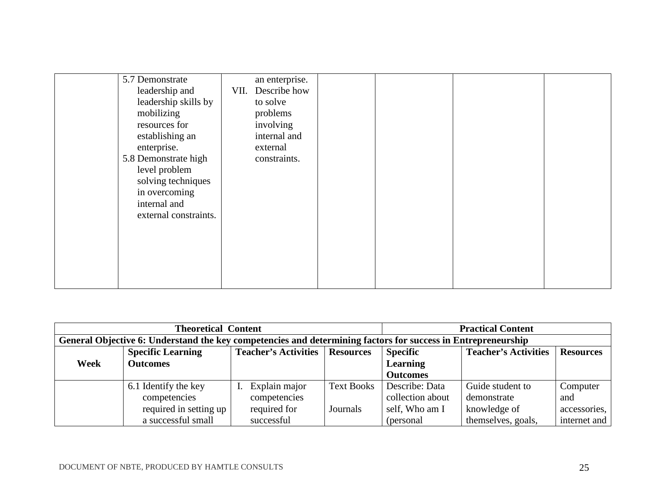| 5.7 Demonstrate<br>leadership and<br>VII.<br>leadership skills by<br>mobilizing<br>resources for<br>establishing an<br>enterprise.<br>5.8 Demonstrate high<br>level problem<br>solving techniques<br>in overcoming<br>internal and<br>external constraints. | an enterprise.<br>Describe how<br>to solve<br>problems<br>involving<br>internal and<br>external<br>constraints. |  |  |
|-------------------------------------------------------------------------------------------------------------------------------------------------------------------------------------------------------------------------------------------------------------|-----------------------------------------------------------------------------------------------------------------|--|--|
|                                                                                                                                                                                                                                                             |                                                                                                                 |  |  |

|                                                                                                              | <b>Theoretical Content</b> | <b>Practical Content</b>    |                   |                             |                    |              |
|--------------------------------------------------------------------------------------------------------------|----------------------------|-----------------------------|-------------------|-----------------------------|--------------------|--------------|
| General Objective 6: Understand the key competencies and determining factors for success in Entrepreneurship |                            |                             |                   |                             |                    |              |
|                                                                                                              | <b>Specific Learning</b>   | <b>Teacher's Activities</b> | <b>Specific</b>   | <b>Teacher's Activities</b> | <b>Resources</b>   |              |
| Week                                                                                                         | <b>Outcomes</b>            |                             |                   | <b>Learning</b>             |                    |              |
|                                                                                                              |                            |                             |                   | <b>Outcomes</b>             |                    |              |
|                                                                                                              | 6.1 Identify the key       | Explain major               | <b>Text Books</b> | Describe: Data              | Guide student to   | Computer     |
|                                                                                                              | competencies               | competencies                |                   | collection about            | demonstrate        | and          |
|                                                                                                              | required in setting up     | required for                | Journals          | self, Who am I              | knowledge of       | accessories, |
|                                                                                                              | a successful small         | successful                  |                   | (personal)                  | themselves, goals, | internet and |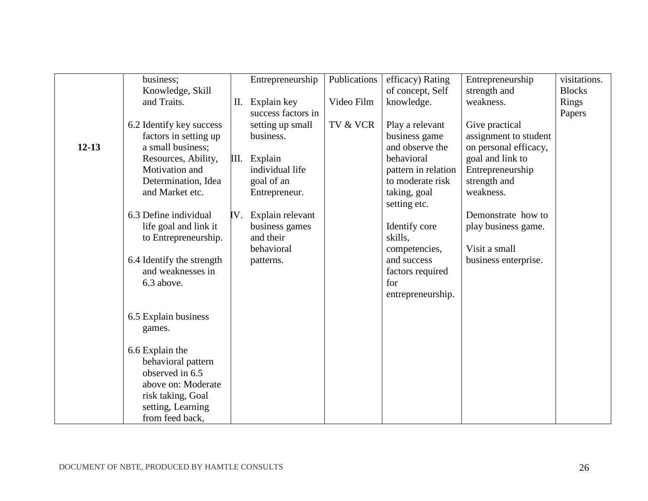|           | business;                 |      | Entrepreneurship   | Publications | efficacy) Rating    | Entrepreneurship      | visitations.  |
|-----------|---------------------------|------|--------------------|--------------|---------------------|-----------------------|---------------|
|           | Knowledge, Skill          |      |                    |              | of concept, Self    | strength and          | <b>Blocks</b> |
|           | and Traits.               | П.   | Explain key        | Video Film   | knowledge.          | weakness.             | Rings         |
|           |                           |      | success factors in |              |                     |                       | Papers        |
|           | 6.2 Identify key success  |      | setting up small   | TV & VCR     | Play a relevant     | Give practical        |               |
|           | factors in setting up     |      | business.          |              | business game       | assignment to student |               |
| $12 - 13$ | a small business;         |      |                    |              | and observe the     | on personal efficacy, |               |
|           | Resources, Ability,       | III. | Explain            |              | behavioral          | goal and link to      |               |
|           | Motivation and            |      | individual life    |              | pattern in relation | Entrepreneurship      |               |
|           | Determination, Idea       |      | goal of an         |              | to moderate risk    | strength and          |               |
|           | and Market etc.           |      | Entrepreneur.      |              | taking, goal        | weakness.             |               |
|           |                           |      |                    |              | setting etc.        |                       |               |
|           | 6.3 Define individual     | IV.  | Explain relevant   |              |                     | Demonstrate how to    |               |
|           | life goal and link it     |      | business games     |              | Identify core       | play business game.   |               |
|           | to Entrepreneurship.      |      | and their          |              | skills,             |                       |               |
|           |                           |      | behavioral         |              | competencies,       | Visit a small         |               |
|           | 6.4 Identify the strength |      | patterns.          |              | and success         | business enterprise.  |               |
|           | and weaknesses in         |      |                    |              | factors required    |                       |               |
|           | 6.3 above.                |      |                    |              | for                 |                       |               |
|           |                           |      |                    |              | entrepreneurship.   |                       |               |
|           |                           |      |                    |              |                     |                       |               |
|           | 6.5 Explain business      |      |                    |              |                     |                       |               |
|           | games.                    |      |                    |              |                     |                       |               |
|           |                           |      |                    |              |                     |                       |               |
|           | 6.6 Explain the           |      |                    |              |                     |                       |               |
|           | behavioral pattern        |      |                    |              |                     |                       |               |
|           | observed in 6.5           |      |                    |              |                     |                       |               |
|           | above on: Moderate        |      |                    |              |                     |                       |               |
|           | risk taking, Goal         |      |                    |              |                     |                       |               |
|           | setting, Learning         |      |                    |              |                     |                       |               |
|           | from feed back,           |      |                    |              |                     |                       |               |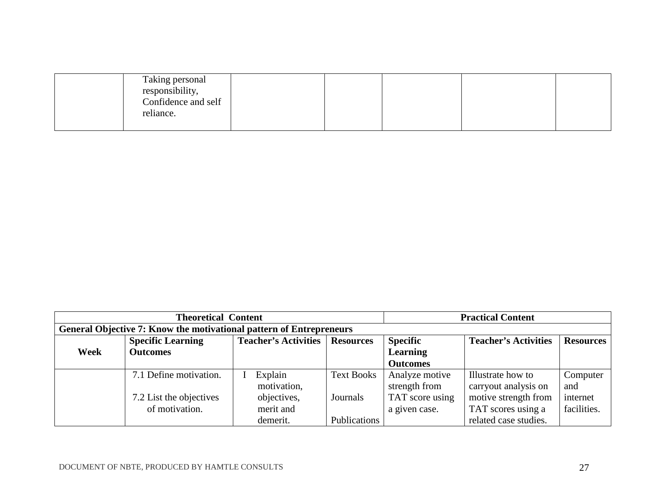| Taking personal<br>responsibility, |  |  |  |
|------------------------------------|--|--|--|
| Confidence and self                |  |  |  |
| reliance.                          |  |  |  |
|                                    |  |  |  |

|             | <b>Theoretical Content</b>                                          |                             |                   | <b>Practical Content</b>    |                       |             |
|-------------|---------------------------------------------------------------------|-----------------------------|-------------------|-----------------------------|-----------------------|-------------|
|             | General Objective 7: Know the motivational pattern of Entrepreneurs |                             |                   |                             |                       |             |
|             | <b>Specific Learning</b>                                            | <b>Teacher's Activities</b> | <b>Specific</b>   | <b>Teacher's Activities</b> | <b>Resources</b>      |             |
| <b>Week</b> | <b>Outcomes</b>                                                     |                             |                   | <b>Learning</b>             |                       |             |
|             |                                                                     |                             |                   | <b>Outcomes</b>             |                       |             |
|             | 7.1 Define motivation.                                              | Explain                     | <b>Text Books</b> | Analyze motive              | Illustrate how to     | Computer    |
|             |                                                                     | motivation,                 |                   | strength from               | carryout analysis on  | and         |
|             | 7.2 List the objectives                                             | objectives,                 | Journals          | TAT score using             | motive strength from  | internet    |
|             | of motivation.                                                      | merit and                   |                   | a given case.               | TAT scores using a    | facilities. |
|             |                                                                     | demerit.                    | Publications      |                             | related case studies. |             |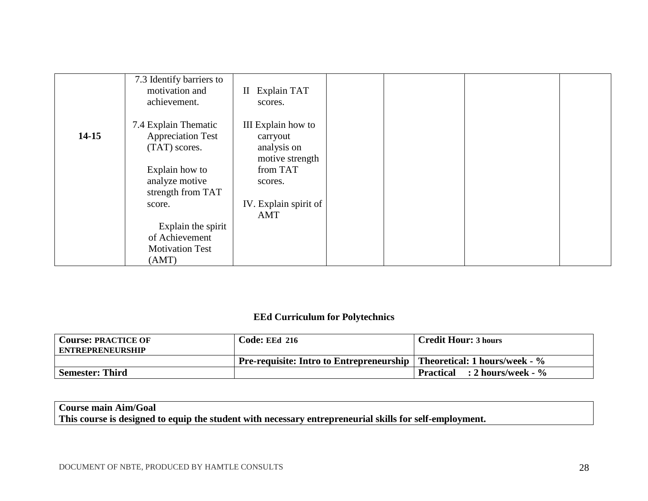|           | 7.3 Identify barriers to<br>motivation and<br>achievement.        | Explain TAT<br>$\rm II$<br>scores.                               |  |  |
|-----------|-------------------------------------------------------------------|------------------------------------------------------------------|--|--|
| $14 - 15$ | 7.4 Explain Thematic<br><b>Appreciation Test</b><br>(TAT) scores. | III Explain how to<br>carryout<br>analysis on<br>motive strength |  |  |
|           | Explain how to<br>analyze motive<br>strength from TAT             | from TAT<br>scores.                                              |  |  |
|           | score.                                                            | IV. Explain spirit of<br>AMT                                     |  |  |
|           | Explain the spirit<br>of Achievement                              |                                                                  |  |  |
|           | <b>Motivation Test</b><br>(AMT)                                   |                                                                  |  |  |

#### **EEd Curriculum for Polytechnics**

| <b>Course: PRACTICE OF</b> | <b>Code: EEd 216</b>                                                          | <b>Credit Hour: 3 hours</b>  |
|----------------------------|-------------------------------------------------------------------------------|------------------------------|
| <b>ENTREPRENEURSHIP</b>    |                                                                               |                              |
|                            | <b>Pre-requisite: Intro to Entrepreneurship</b> Theoretical: 1 hours/week - % |                              |
| Semester: Third            |                                                                               | Practical : 2 hours/week - % |

#### **Course main Aim/Goal This course is designed to equip the student with necessary entrepreneurial skills for self-employment.**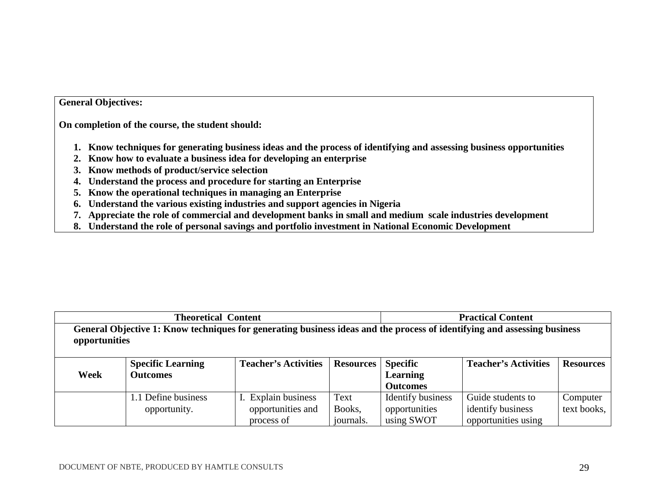#### **General Objectives:**

**On completion of the course, the student should:** 

- **1. Know techniques for generating business ideas and the process of identifying and assessing business opportunities**
- **2. Know how to evaluate a business idea for developing an enterprise**
- **3. Know methods of product/service selection**
- **4. Understand the process and procedure for starting an Enterprise**
- **5. Know the operational techniques in managing an Enterprise**
- **6. Understand the various existing industries and support agencies in Nigeria**
- **7. Appreciate the role of commercial and development banks in small and medium scale industries development**
- **8. Understand the role of personal savings and portfolio investment in National Economic Development**

|                                                                                                                                           | <b>Theoretical Content</b>           | <b>Practical Content</b>                               |                             |                                                  |                                                               |                         |  |  |
|-------------------------------------------------------------------------------------------------------------------------------------------|--------------------------------------|--------------------------------------------------------|-----------------------------|--------------------------------------------------|---------------------------------------------------------------|-------------------------|--|--|
| General Objective 1: Know techniques for generating business ideas and the process of identifying and assessing business<br>opportunities |                                      |                                                        |                             |                                                  |                                                               |                         |  |  |
| Week                                                                                                                                      | <b>Specific Learning</b><br>Outcomes | <b>Teacher's Activities</b>                            | <b>Resources</b>            | <b>Specific</b><br>Learning<br><b>Outcomes</b>   | <b>Teacher's Activities</b>                                   | <b>Resources</b>        |  |  |
|                                                                                                                                           | 1.1 Define business<br>opportunity.  | I. Explain business<br>opportunities and<br>process of | Text<br>Books,<br>journals. | Identify business<br>opportunities<br>using SWOT | Guide students to<br>identify business<br>opportunities using | Computer<br>text books, |  |  |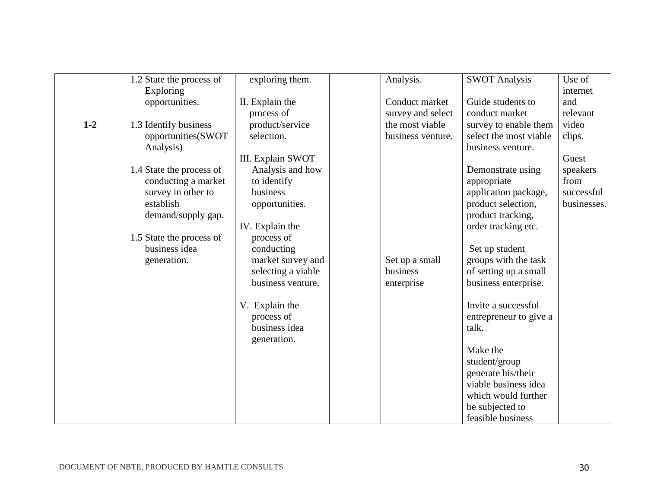|         | 1.2 State the process of | exploring them.    | Analysis.         | <b>SWOT Analysis</b>   | Use of      |
|---------|--------------------------|--------------------|-------------------|------------------------|-------------|
|         |                          |                    |                   |                        |             |
|         | Exploring                |                    |                   |                        | internet    |
|         | opportunities.           | II. Explain the    | Conduct market    | Guide students to      | and         |
|         |                          | process of         | survey and select | conduct market         | relevant    |
| $1 - 2$ | 1.3 Identify business    | product/service    | the most viable   | survey to enable them  | video       |
|         | opportunities(SWOT       | selection.         | business venture. | select the most viable | clips.      |
|         | Analysis)                |                    |                   | business venture.      |             |
|         |                          | III. Explain SWOT  |                   |                        | Guest       |
|         | 1.4 State the process of | Analysis and how   |                   | Demonstrate using      | speakers    |
|         | conducting a market      | to identify        |                   | appropriate            | from        |
|         | survey in other to       | business           |                   | application package,   | successful  |
|         | establish                | opportunities.     |                   | product selection,     | businesses. |
|         | demand/supply gap.       |                    |                   | product tracking,      |             |
|         |                          | IV. Explain the    |                   | order tracking etc.    |             |
|         | 1.5 State the process of | process of         |                   |                        |             |
|         | business idea            | conducting         |                   | Set up student         |             |
|         | generation.              | market survey and  | Set up a small    | groups with the task   |             |
|         |                          | selecting a viable | business          | of setting up a small  |             |
|         |                          | business venture.  | enterprise        | business enterprise.   |             |
|         |                          |                    |                   |                        |             |
|         |                          | V. Explain the     |                   | Invite a successful    |             |
|         |                          | process of         |                   | entrepreneur to give a |             |
|         |                          | business idea      |                   | talk.                  |             |
|         |                          | generation.        |                   |                        |             |
|         |                          |                    |                   | Make the               |             |
|         |                          |                    |                   | student/group          |             |
|         |                          |                    |                   | generate his/their     |             |
|         |                          |                    |                   | viable business idea   |             |
|         |                          |                    |                   | which would further    |             |
|         |                          |                    |                   | be subjected to        |             |
|         |                          |                    |                   | feasible business      |             |
|         |                          |                    |                   |                        |             |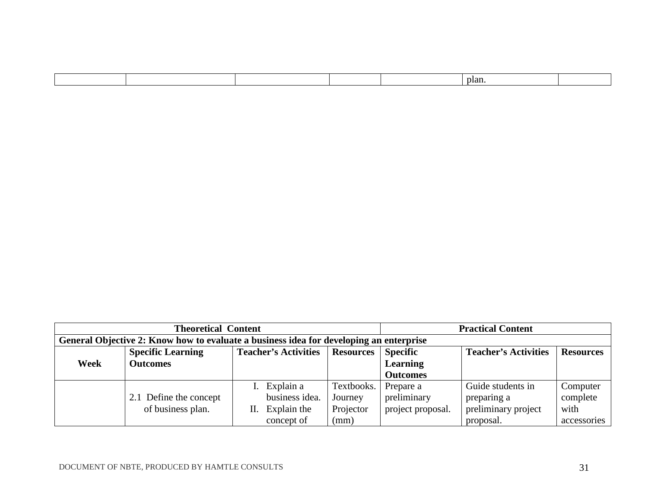| plan. |
|-------|
|-------|

|      | <b>Theoretical Content</b>                                                                     | <b>Practical Content</b> |            |                   |                             |                  |
|------|------------------------------------------------------------------------------------------------|--------------------------|------------|-------------------|-----------------------------|------------------|
|      | General Objective 2: Know how to evaluate a business idea for developing an enterprise         |                          |            |                   |                             |                  |
|      | <b>Teacher's Activities</b><br><b>Specific Learning</b><br><b>Resources</b><br><b>Specific</b> |                          |            |                   | <b>Teacher's Activities</b> | <b>Resources</b> |
| Week | <b>Outcomes</b>                                                                                |                          |            | <b>Learning</b>   |                             |                  |
|      |                                                                                                |                          |            | <b>Outcomes</b>   |                             |                  |
|      |                                                                                                | I. Explain a             | Textbooks. | Prepare a         | Guide students in           | Computer         |
|      | 2.1 Define the concept                                                                         | business idea.           | Journey    | preliminary       | preparing a                 | complete         |
|      | of business plan.                                                                              | Explain the<br>Н.        | Projector  | project proposal. | preliminary project         | with             |
|      |                                                                                                | concept of               | (mm)       |                   | proposal.                   | accessories      |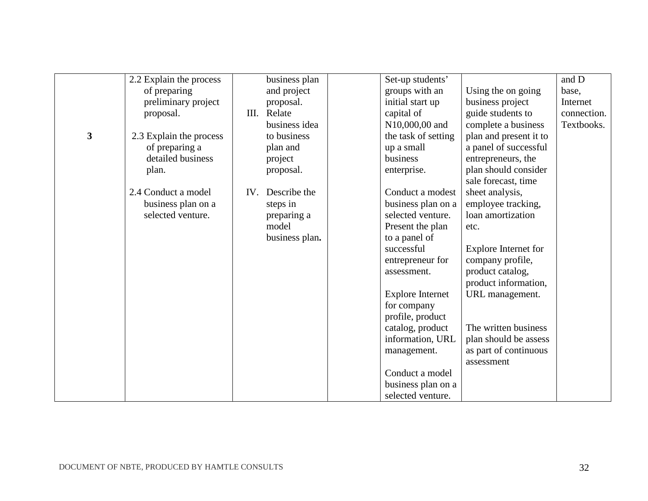|   | 2.2 Explain the process |     | business plan  | Set-up students'        |                        | and D       |
|---|-------------------------|-----|----------------|-------------------------|------------------------|-------------|
|   | of preparing            |     | and project    | groups with an          | Using the on going     | base,       |
|   | preliminary project     |     | proposal.      | initial start up        | business project       | Internet    |
|   | proposal.               | Ш.  | Relate         | capital of              | guide students to      | connection. |
|   |                         |     | business idea  | N10,000,00 and          | complete a business    | Textbooks.  |
| 3 | 2.3 Explain the process |     | to business    | the task of setting     | plan and present it to |             |
|   | of preparing a          |     | plan and       | up a small              | a panel of successful  |             |
|   | detailed business       |     | project        | business                | entrepreneurs, the     |             |
|   | plan.                   |     | proposal.      | enterprise.             | plan should consider   |             |
|   |                         |     |                |                         | sale forecast, time    |             |
|   | 2.4 Conduct a model     | IV. | Describe the   | Conduct a modest        | sheet analysis,        |             |
|   | business plan on a      |     | steps in       | business plan on a      | employee tracking,     |             |
|   | selected venture.       |     | preparing a    | selected venture.       | loan amortization      |             |
|   |                         |     | model          | Present the plan        | etc.                   |             |
|   |                         |     | business plan. | to a panel of           |                        |             |
|   |                         |     |                | successful              | Explore Internet for   |             |
|   |                         |     |                | entrepreneur for        | company profile,       |             |
|   |                         |     |                | assessment.             | product catalog,       |             |
|   |                         |     |                |                         | product information,   |             |
|   |                         |     |                | <b>Explore Internet</b> | URL management.        |             |
|   |                         |     |                | for company             |                        |             |
|   |                         |     |                | profile, product        |                        |             |
|   |                         |     |                | catalog, product        | The written business   |             |
|   |                         |     |                | information, URL        | plan should be assess  |             |
|   |                         |     |                | management.             | as part of continuous  |             |
|   |                         |     |                |                         | assessment             |             |
|   |                         |     |                | Conduct a model         |                        |             |
|   |                         |     |                | business plan on a      |                        |             |
|   |                         |     |                | selected venture.       |                        |             |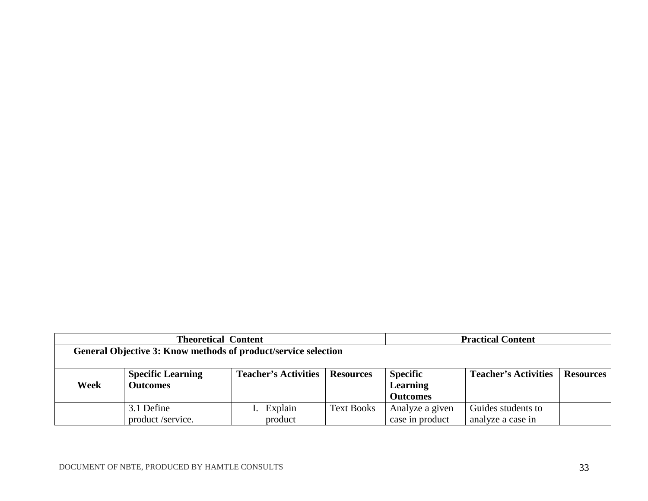|                                                                | <b>Theoretical Content</b> | <b>Practical Content</b>    |                   |                 |                             |                  |
|----------------------------------------------------------------|----------------------------|-----------------------------|-------------------|-----------------|-----------------------------|------------------|
| General Objective 3: Know methods of product/service selection |                            |                             |                   |                 |                             |                  |
|                                                                |                            |                             |                   |                 |                             |                  |
|                                                                | <b>Specific Learning</b>   | <b>Teacher's Activities</b> | <b>Resources</b>  | <b>Specific</b> | <b>Teacher's Activities</b> | <b>Resources</b> |
| Week                                                           | <b>Outcomes</b>            |                             |                   | <b>Learning</b> |                             |                  |
|                                                                |                            |                             |                   | <b>Outcomes</b> |                             |                  |
|                                                                | 3.1 Define                 | Explain                     | <b>Text Books</b> | Analyze a given | Guides students to          |                  |
|                                                                | product/service.           | product                     |                   | case in product | analyze a case in           |                  |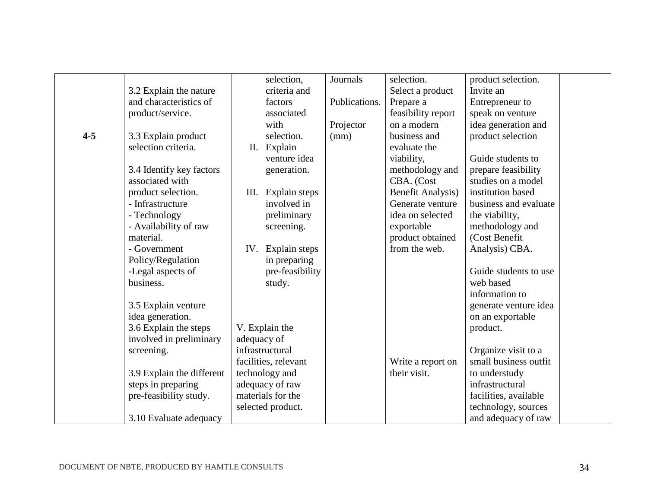|         |                           |             | selection,           | Journals      | selection.               | product selection.    |  |
|---------|---------------------------|-------------|----------------------|---------------|--------------------------|-----------------------|--|
|         | 3.2 Explain the nature    |             | criteria and         |               | Select a product         | Invite an             |  |
|         | and characteristics of    |             | factors              | Publications. | Prepare a                | Entrepreneur to       |  |
|         | product/service.          |             | associated           |               | feasibility report       | speak on venture      |  |
|         |                           |             | with                 | Projector     | on a modern              | idea generation and   |  |
| $4 - 5$ | 3.3 Explain product       |             | selection.           | (mm)          | business and             | product selection     |  |
|         | selection criteria.       |             | II. Explain          |               | evaluate the             |                       |  |
|         |                           |             | venture idea         |               | viability,               | Guide students to     |  |
|         | 3.4 Identify key factors  |             | generation.          |               | methodology and          | prepare feasibility   |  |
|         | associated with           |             |                      |               | CBA. (Cost               | studies on a model    |  |
|         | product selection.        | Ш.          | Explain steps        |               | <b>Benefit Analysis)</b> | institution based     |  |
|         | - Infrastructure          |             | involved in          |               | Generate venture         | business and evaluate |  |
|         | - Technology              |             | preliminary          |               | idea on selected         | the viability,        |  |
|         | - Availability of raw     |             | screening.           |               | exportable               | methodology and       |  |
|         | material.                 |             |                      |               | product obtained         | (Cost Benefit)        |  |
|         | - Government              | IV.         | Explain steps        |               | from the web.            | Analysis) CBA.        |  |
|         | Policy/Regulation         |             | in preparing         |               |                          |                       |  |
|         | -Legal aspects of         |             | pre-feasibility      |               |                          | Guide students to use |  |
|         | business.                 |             | study.               |               |                          | web based             |  |
|         |                           |             |                      |               |                          | information to        |  |
|         | 3.5 Explain venture       |             |                      |               |                          | generate venture idea |  |
|         | idea generation.          |             |                      |               |                          | on an exportable      |  |
|         | 3.6 Explain the steps     |             | V. Explain the       |               |                          | product.              |  |
|         | involved in preliminary   | adequacy of |                      |               |                          |                       |  |
|         | screening.                |             | infrastructural      |               |                          | Organize visit to a   |  |
|         |                           |             | facilities, relevant |               | Write a report on        | small business outfit |  |
|         | 3.9 Explain the different |             | technology and       |               | their visit.             | to understudy         |  |
|         | steps in preparing        |             | adequacy of raw      |               |                          | infrastructural       |  |
|         | pre-feasibility study.    |             | materials for the    |               |                          | facilities, available |  |
|         |                           |             | selected product.    |               |                          | technology, sources   |  |
|         | 3.10 Evaluate adequacy    |             |                      |               |                          | and adequacy of raw   |  |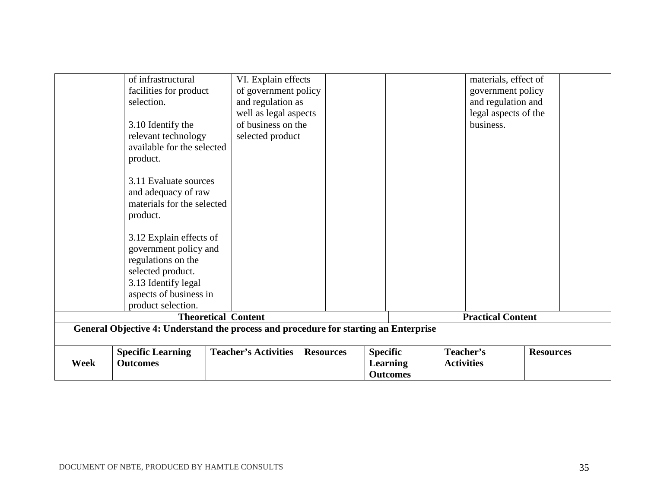| Week | <b>Outcomes</b>                                                                                                  |                                           |                  | <b>Learning</b><br><b>Outcomes</b> | <b>Activities</b>                       |                      |
|------|------------------------------------------------------------------------------------------------------------------|-------------------------------------------|------------------|------------------------------------|-----------------------------------------|----------------------|
|      | General Objective 4: Understand the process and procedure for starting an Enterprise<br><b>Specific Learning</b> | <b>Teacher's Activities</b>               | <b>Resources</b> | <b>Specific</b>                    | Teacher's                               | <b>Resources</b>     |
|      |                                                                                                                  | <b>Theoretical Content</b>                |                  |                                    | <b>Practical Content</b>                |                      |
|      | product selection.                                                                                               |                                           |                  |                                    |                                         |                      |
|      | aspects of business in                                                                                           |                                           |                  |                                    |                                         |                      |
|      | 3.13 Identify legal                                                                                              |                                           |                  |                                    |                                         |                      |
|      | selected product.                                                                                                |                                           |                  |                                    |                                         |                      |
|      | regulations on the                                                                                               |                                           |                  |                                    |                                         |                      |
|      | government policy and                                                                                            |                                           |                  |                                    |                                         |                      |
|      | 3.12 Explain effects of                                                                                          |                                           |                  |                                    |                                         |                      |
|      | product.                                                                                                         |                                           |                  |                                    |                                         |                      |
|      | materials for the selected                                                                                       |                                           |                  |                                    |                                         |                      |
|      | and adequacy of raw                                                                                              |                                           |                  |                                    |                                         |                      |
|      | 3.11 Evaluate sources                                                                                            |                                           |                  |                                    |                                         |                      |
|      | product.                                                                                                         |                                           |                  |                                    |                                         |                      |
|      | available for the selected                                                                                       |                                           |                  |                                    |                                         |                      |
|      | relevant technology                                                                                              | selected product                          |                  |                                    |                                         |                      |
|      | 3.10 Identify the                                                                                                | of business on the                        |                  |                                    | business.                               |                      |
|      |                                                                                                                  | well as legal aspects                     |                  |                                    |                                         | legal aspects of the |
|      | facilities for product<br>selection.                                                                             | of government policy<br>and regulation as |                  |                                    | government policy<br>and regulation and |                      |
|      | of infrastructural                                                                                               | VI. Explain effects                       |                  |                                    | materials, effect of                    |                      |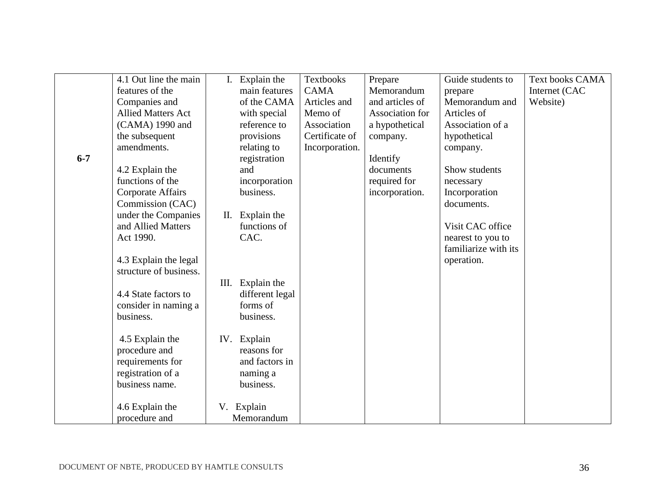|         | 4.1 Out line the main     | I.   | Explain the     | <b>Textbooks</b> | Prepare         | Guide students to    | <b>Text books CAMA</b> |
|---------|---------------------------|------|-----------------|------------------|-----------------|----------------------|------------------------|
|         | features of the           |      | main features   | <b>CAMA</b>      | Memorandum      | prepare              | Internet (CAC          |
|         | Companies and             |      | of the CAMA     | Articles and     | and articles of | Memorandum and       | Website)               |
|         | <b>Allied Matters Act</b> |      | with special    | Memo of          | Association for | Articles of          |                        |
|         | (CAMA) 1990 and           |      | reference to    | Association      | a hypothetical  | Association of a     |                        |
|         | the subsequent            |      | provisions      | Certificate of   | company.        | hypothetical         |                        |
|         | amendments.               |      | relating to     | Incorporation.   |                 | company.             |                        |
| $6 - 7$ |                           |      | registration    |                  | Identify        |                      |                        |
|         | 4.2 Explain the           |      | and             |                  | documents       | Show students        |                        |
|         | functions of the          |      | incorporation   |                  | required for    | necessary            |                        |
|         | Corporate Affairs         |      | business.       |                  | incorporation.  | Incorporation        |                        |
|         | Commission (CAC)          |      |                 |                  |                 | documents.           |                        |
|         | under the Companies       | П.   | Explain the     |                  |                 |                      |                        |
|         | and Allied Matters        |      | functions of    |                  |                 | Visit CAC office     |                        |
|         | Act 1990.                 |      | CAC.            |                  |                 | nearest to you to    |                        |
|         |                           |      |                 |                  |                 | familiarize with its |                        |
|         | 4.3 Explain the legal     |      |                 |                  |                 | operation.           |                        |
|         | structure of business.    |      |                 |                  |                 |                      |                        |
|         |                           | III. | Explain the     |                  |                 |                      |                        |
|         | 4.4 State factors to      |      | different legal |                  |                 |                      |                        |
|         | consider in naming a      |      | forms of        |                  |                 |                      |                        |
|         | business.                 |      | business.       |                  |                 |                      |                        |
|         |                           |      |                 |                  |                 |                      |                        |
|         | 4.5 Explain the           | IV.  | Explain         |                  |                 |                      |                        |
|         | procedure and             |      | reasons for     |                  |                 |                      |                        |
|         | requirements for          |      | and factors in  |                  |                 |                      |                        |
|         | registration of a         |      | naming a        |                  |                 |                      |                        |
|         | business name.            |      | business.       |                  |                 |                      |                        |
|         |                           |      |                 |                  |                 |                      |                        |
|         | 4.6 Explain the           |      | V. Explain      |                  |                 |                      |                        |
|         | procedure and             |      | Memorandum      |                  |                 |                      |                        |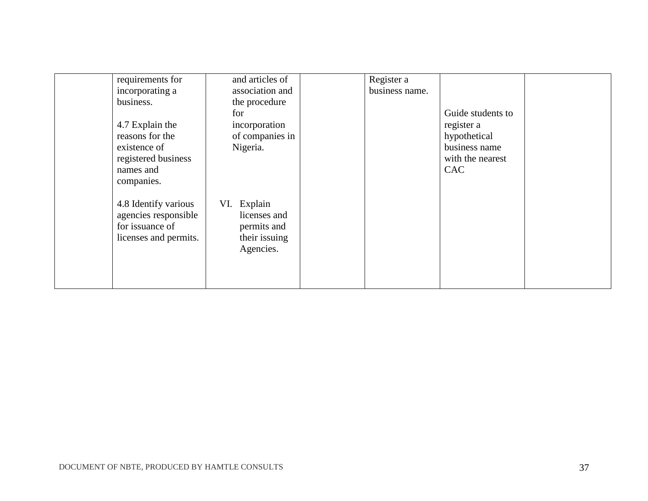| requirements for      | and articles of | Register a     |                   |  |
|-----------------------|-----------------|----------------|-------------------|--|
| incorporating a       | association and | business name. |                   |  |
| business.             | the procedure   |                |                   |  |
|                       | for             |                | Guide students to |  |
| 4.7 Explain the       | incorporation   |                | register a        |  |
| reasons for the       | of companies in |                | hypothetical      |  |
| existence of          | Nigeria.        |                | business name     |  |
| registered business   |                 |                | with the nearest  |  |
| names and             |                 |                | <b>CAC</b>        |  |
| companies.            |                 |                |                   |  |
|                       |                 |                |                   |  |
| 4.8 Identify various  | Explain<br>VI.  |                |                   |  |
| agencies responsible  | licenses and    |                |                   |  |
| for issuance of       | permits and     |                |                   |  |
| licenses and permits. | their issuing   |                |                   |  |
|                       | Agencies.       |                |                   |  |
|                       |                 |                |                   |  |
|                       |                 |                |                   |  |
|                       |                 |                |                   |  |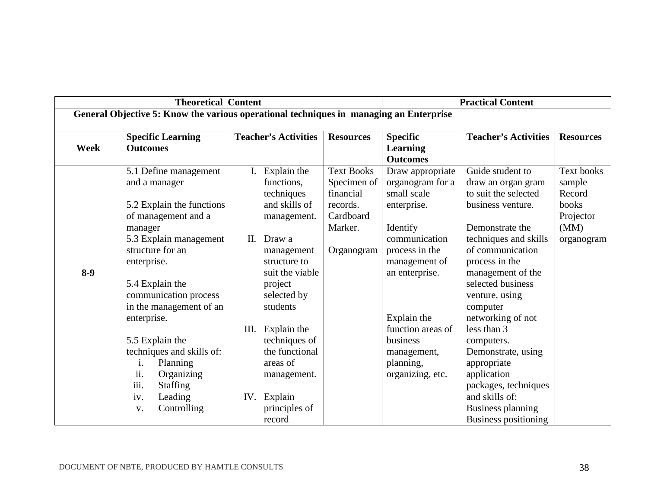|       | <b>Theoretical Content</b>                                                                                                                                                                                                                                                                                                                      |                                                                                                                                                                                                                                                                       |                                                                                                 |                                                                                                                                                                                                                                                      | <b>Practical Content</b>                                                                                                                                                                                                                                                                                                                            |                                                                                   |  |  |
|-------|-------------------------------------------------------------------------------------------------------------------------------------------------------------------------------------------------------------------------------------------------------------------------------------------------------------------------------------------------|-----------------------------------------------------------------------------------------------------------------------------------------------------------------------------------------------------------------------------------------------------------------------|-------------------------------------------------------------------------------------------------|------------------------------------------------------------------------------------------------------------------------------------------------------------------------------------------------------------------------------------------------------|-----------------------------------------------------------------------------------------------------------------------------------------------------------------------------------------------------------------------------------------------------------------------------------------------------------------------------------------------------|-----------------------------------------------------------------------------------|--|--|
|       | General Objective 5: Know the various operational techniques in managing an Enterprise                                                                                                                                                                                                                                                          |                                                                                                                                                                                                                                                                       |                                                                                                 |                                                                                                                                                                                                                                                      |                                                                                                                                                                                                                                                                                                                                                     |                                                                                   |  |  |
| Week  | <b>Specific Learning</b><br><b>Outcomes</b>                                                                                                                                                                                                                                                                                                     | <b>Teacher's Activities</b>                                                                                                                                                                                                                                           | <b>Resources</b>                                                                                | <b>Specific</b><br><b>Learning</b><br><b>Outcomes</b>                                                                                                                                                                                                | <b>Teacher's Activities</b>                                                                                                                                                                                                                                                                                                                         | <b>Resources</b>                                                                  |  |  |
| $8-9$ | 5.1 Define management<br>and a manager<br>5.2 Explain the functions<br>of management and a<br>manager<br>5.3 Explain management<br>structure for an<br>enterprise.<br>5.4 Explain the<br>communication process<br>in the management of an<br>enterprise.<br>5.5 Explain the<br>techniques and skills of:<br>i.<br>Planning<br>ii.<br>Organizing | I. Explain the<br>functions,<br>techniques<br>and skills of<br>management.<br>Draw a<br>II.<br>management<br>structure to<br>suit the viable<br>project<br>selected by<br>students<br>Explain the<br>Ш.<br>techniques of<br>the functional<br>areas of<br>management. | <b>Text Books</b><br>Specimen of<br>financial<br>records.<br>Cardboard<br>Marker.<br>Organogram | Draw appropriate<br>organogram for a<br>small scale<br>enterprise.<br>Identify<br>communication<br>process in the<br>management of<br>an enterprise.<br>Explain the<br>function areas of<br>business<br>management,<br>planning,<br>organizing, etc. | Guide student to<br>draw an organ gram<br>to suit the selected<br>business venture.<br>Demonstrate the<br>techniques and skills<br>of communication<br>process in the<br>management of the<br>selected business<br>venture, using<br>computer<br>networking of not<br>less than 3<br>computers.<br>Demonstrate, using<br>appropriate<br>application | <b>Text books</b><br>sample<br>Record<br>books<br>Projector<br>(MM)<br>organogram |  |  |
|       | iii.<br><b>Staffing</b><br>Leading<br>iv.<br>Controlling<br>V.                                                                                                                                                                                                                                                                                  | IV. Explain<br>principles of<br>record                                                                                                                                                                                                                                |                                                                                                 |                                                                                                                                                                                                                                                      | packages, techniques<br>and skills of:<br><b>Business planning</b><br><b>Business positioning</b>                                                                                                                                                                                                                                                   |                                                                                   |  |  |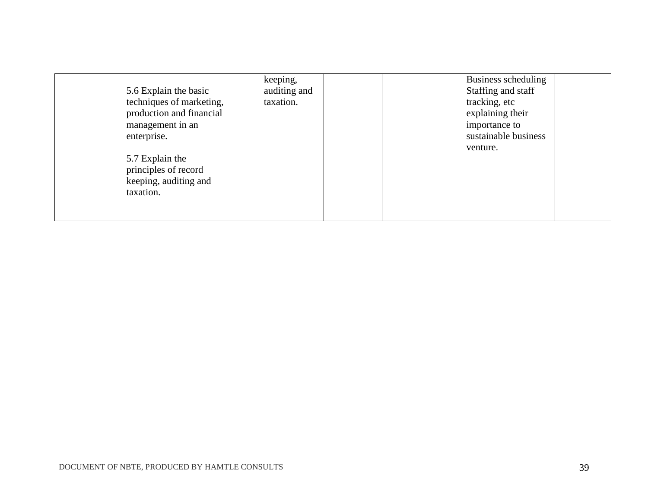| 5.6 Explain the basic<br>techniques of marketing,<br>production and financial<br>management in an<br>enterprise.<br>5.7 Explain the<br>principles of record<br>keeping, auditing and<br>taxation. | keeping,<br>auditing and<br>taxation. | Business scheduling<br>Staffing and staff<br>tracking, etc<br>explaining their<br>importance to<br>sustainable business<br>venture. |
|---------------------------------------------------------------------------------------------------------------------------------------------------------------------------------------------------|---------------------------------------|-------------------------------------------------------------------------------------------------------------------------------------|
|                                                                                                                                                                                                   |                                       |                                                                                                                                     |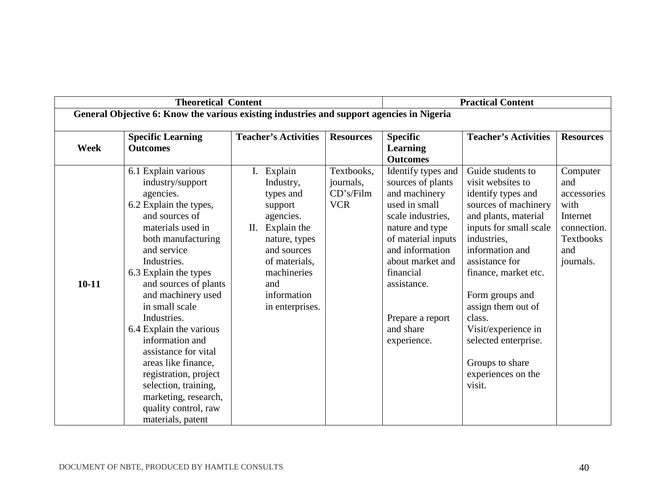|             | <b>Theoretical Content</b>                                                                                                                                                                                                                                                                                                                                                                                                                                                                            |                                                                                                                                                                                            |                                                    | <b>Practical Content</b>                                                                                                                                                                                                                                   |                                                                                                                                                                                                                                                                                                                                                                         |                                                                                                    |  |
|-------------|-------------------------------------------------------------------------------------------------------------------------------------------------------------------------------------------------------------------------------------------------------------------------------------------------------------------------------------------------------------------------------------------------------------------------------------------------------------------------------------------------------|--------------------------------------------------------------------------------------------------------------------------------------------------------------------------------------------|----------------------------------------------------|------------------------------------------------------------------------------------------------------------------------------------------------------------------------------------------------------------------------------------------------------------|-------------------------------------------------------------------------------------------------------------------------------------------------------------------------------------------------------------------------------------------------------------------------------------------------------------------------------------------------------------------------|----------------------------------------------------------------------------------------------------|--|
|             | General Objective 6: Know the various existing industries and support agencies in Nigeria                                                                                                                                                                                                                                                                                                                                                                                                             |                                                                                                                                                                                            |                                                    |                                                                                                                                                                                                                                                            |                                                                                                                                                                                                                                                                                                                                                                         |                                                                                                    |  |
| <b>Week</b> | <b>Specific Learning</b><br><b>Outcomes</b>                                                                                                                                                                                                                                                                                                                                                                                                                                                           | <b>Teacher's Activities</b>                                                                                                                                                                | <b>Resources</b>                                   | <b>Specific</b><br><b>Learning</b><br><b>Outcomes</b>                                                                                                                                                                                                      | <b>Teacher's Activities</b>                                                                                                                                                                                                                                                                                                                                             | <b>Resources</b>                                                                                   |  |
| $10 - 11$   | 6.1 Explain various<br>industry/support<br>agencies.<br>6.2 Explain the types,<br>and sources of<br>materials used in<br>both manufacturing<br>and service<br>Industries.<br>6.3 Explain the types<br>and sources of plants<br>and machinery used<br>in small scale<br>Industries.<br>6.4 Explain the various<br>information and<br>assistance for vital<br>areas like finance,<br>registration, project<br>selection, training,<br>marketing, research,<br>quality control, raw<br>materials, patent | I. Explain<br>Industry,<br>types and<br>support<br>agencies.<br>Explain the<br>П.<br>nature, types<br>and sources<br>of materials,<br>machineries<br>and<br>information<br>in enterprises. | Textbooks,<br>journals,<br>CD's/Film<br><b>VCR</b> | Identify types and<br>sources of plants<br>and machinery<br>used in small<br>scale industries,<br>nature and type<br>of material inputs<br>and information<br>about market and<br>financial<br>assistance.<br>Prepare a report<br>and share<br>experience. | Guide students to<br>visit websites to<br>identify types and<br>sources of machinery<br>and plants, material<br>inputs for small scale<br>industries,<br>information and<br>assistance for<br>finance, market etc.<br>Form groups and<br>assign them out of<br>class.<br>Visit/experience in<br>selected enterprise.<br>Groups to share<br>experiences on the<br>visit. | Computer<br>and<br>accessories<br>with<br>Internet<br>connection.<br>Textbooks<br>and<br>journals. |  |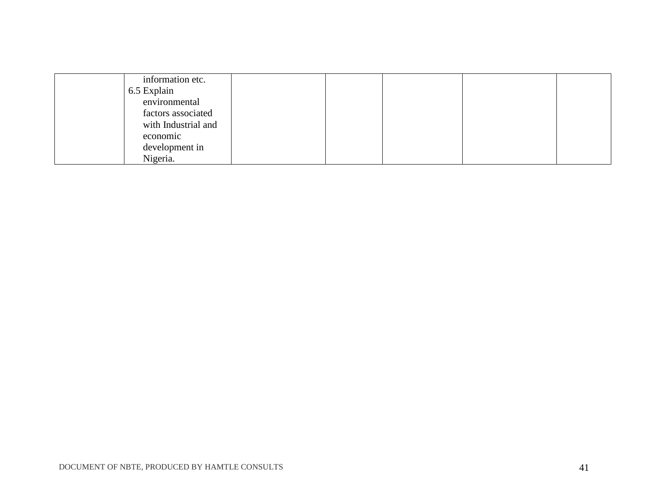| information etc.    |  |  |  |
|---------------------|--|--|--|
| 6.5 Explain         |  |  |  |
| environmental       |  |  |  |
| factors associated  |  |  |  |
| with Industrial and |  |  |  |
| economic            |  |  |  |
| development in      |  |  |  |
| Nigeria.            |  |  |  |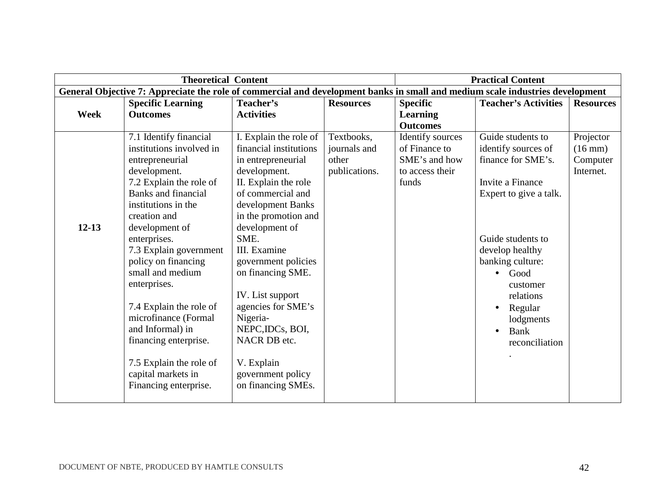|             | <b>Theoretical Content</b>                                                                                                    |                        |                  |                  | <b>Practical Content</b>    |                   |  |  |
|-------------|-------------------------------------------------------------------------------------------------------------------------------|------------------------|------------------|------------------|-----------------------------|-------------------|--|--|
|             | General Objective 7: Appreciate the role of commercial and development banks in small and medium scale industries development |                        |                  |                  |                             |                   |  |  |
|             | <b>Specific Learning</b>                                                                                                      | Teacher's              | <b>Resources</b> | <b>Specific</b>  | <b>Teacher's Activities</b> | <b>Resources</b>  |  |  |
| <b>Week</b> | <b>Outcomes</b>                                                                                                               | <b>Activities</b>      |                  | <b>Learning</b>  |                             |                   |  |  |
|             |                                                                                                                               |                        |                  | <b>Outcomes</b>  |                             |                   |  |  |
|             | 7.1 Identify financial                                                                                                        | I. Explain the role of | Textbooks,       | Identify sources | Guide students to           | Projector         |  |  |
|             | institutions involved in                                                                                                      | financial institutions | journals and     | of Finance to    | identify sources of         | $(16 \text{ mm})$ |  |  |
|             | entrepreneurial                                                                                                               | in entrepreneurial     | other            | SME's and how    | finance for SME's.          | Computer          |  |  |
|             | development.                                                                                                                  | development.           | publications.    | to access their  |                             | Internet.         |  |  |
|             | 7.2 Explain the role of                                                                                                       | II. Explain the role   |                  | funds            | Invite a Finance            |                   |  |  |
|             | <b>Banks</b> and financial                                                                                                    | of commercial and      |                  |                  | Expert to give a talk.      |                   |  |  |
|             | institutions in the                                                                                                           | development Banks      |                  |                  |                             |                   |  |  |
|             | creation and                                                                                                                  | in the promotion and   |                  |                  |                             |                   |  |  |
| $12 - 13$   | development of                                                                                                                | development of         |                  |                  |                             |                   |  |  |
|             | enterprises.                                                                                                                  | SME.                   |                  |                  | Guide students to           |                   |  |  |
|             | 7.3 Explain government                                                                                                        | III. Examine           |                  |                  | develop healthy             |                   |  |  |
|             | policy on financing                                                                                                           | government policies    |                  |                  | banking culture:            |                   |  |  |
|             | small and medium                                                                                                              | on financing SME.      |                  |                  | Good                        |                   |  |  |
|             | enterprises.                                                                                                                  |                        |                  |                  | customer                    |                   |  |  |
|             |                                                                                                                               | IV. List support       |                  |                  | relations                   |                   |  |  |
|             | 7.4 Explain the role of                                                                                                       | agencies for SME's     |                  |                  | Regular<br>$\bullet$        |                   |  |  |
|             | microfinance (Formal                                                                                                          | Nigeria-               |                  |                  | lodgments                   |                   |  |  |
|             | and Informal) in                                                                                                              | NEPC, IDCs, BOI,       |                  |                  | Bank                        |                   |  |  |
|             | financing enterprise.                                                                                                         | NACR DB etc.           |                  |                  | reconciliation              |                   |  |  |
|             |                                                                                                                               |                        |                  |                  |                             |                   |  |  |
|             | 7.5 Explain the role of                                                                                                       | V. Explain             |                  |                  |                             |                   |  |  |
|             | capital markets in                                                                                                            | government policy      |                  |                  |                             |                   |  |  |
|             | Financing enterprise.                                                                                                         | on financing SMEs.     |                  |                  |                             |                   |  |  |
|             |                                                                                                                               |                        |                  |                  |                             |                   |  |  |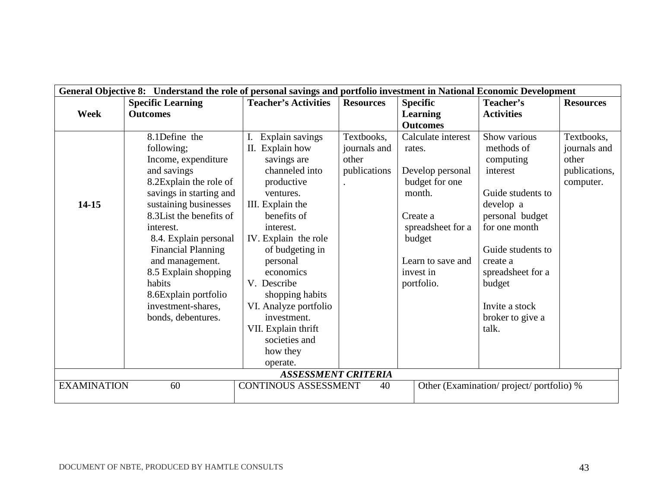|                    | General Objective 8: Understand the role of personal savings and portfolio investment in National Economic Development |                             |                  |                    |                                         |                  |  |  |
|--------------------|------------------------------------------------------------------------------------------------------------------------|-----------------------------|------------------|--------------------|-----------------------------------------|------------------|--|--|
|                    | <b>Specific Learning</b>                                                                                               | <b>Teacher's Activities</b> | <b>Resources</b> | <b>Specific</b>    | Teacher's                               | <b>Resources</b> |  |  |
| <b>Week</b>        | <b>Outcomes</b>                                                                                                        |                             |                  | <b>Learning</b>    | <b>Activities</b>                       |                  |  |  |
|                    |                                                                                                                        |                             |                  | <b>Outcomes</b>    |                                         |                  |  |  |
|                    | 8.1Define the                                                                                                          | I. Explain savings          | Textbooks,       | Calculate interest | Show various                            | Textbooks,       |  |  |
|                    | following;                                                                                                             | II. Explain how             | journals and     | rates.             | methods of                              | journals and     |  |  |
|                    | Income, expenditure                                                                                                    | savings are                 | other            |                    | computing                               | other            |  |  |
|                    | and savings                                                                                                            | channeled into              | publications     | Develop personal   | interest                                | publications,    |  |  |
|                    | 8.2Explain the role of                                                                                                 | productive                  |                  | budget for one     |                                         | computer.        |  |  |
|                    | savings in starting and                                                                                                | ventures.                   |                  | month.             | Guide students to                       |                  |  |  |
| 14-15              | sustaining businesses                                                                                                  | III. Explain the            |                  |                    | develop a                               |                  |  |  |
|                    | 8.3List the benefits of                                                                                                | benefits of                 |                  | Create a           | personal budget                         |                  |  |  |
|                    | interest.                                                                                                              | interest.                   |                  | spreadsheet for a  | for one month                           |                  |  |  |
|                    | 8.4. Explain personal                                                                                                  | IV. Explain the role        |                  | budget             |                                         |                  |  |  |
|                    | <b>Financial Planning</b>                                                                                              | of budgeting in             |                  |                    | Guide students to                       |                  |  |  |
|                    | and management.                                                                                                        | personal                    |                  | Learn to save and  | create a                                |                  |  |  |
|                    | 8.5 Explain shopping                                                                                                   | economics                   |                  | invest in          | spreadsheet for a                       |                  |  |  |
|                    | habits                                                                                                                 | V. Describe                 |                  | portfolio.         | budget                                  |                  |  |  |
|                    | 8.6Explain portfolio                                                                                                   | shopping habits             |                  |                    |                                         |                  |  |  |
|                    | investment-shares.                                                                                                     | VI. Analyze portfolio       |                  |                    | Invite a stock                          |                  |  |  |
|                    | bonds, debentures.                                                                                                     | investment.                 |                  |                    | broker to give a                        |                  |  |  |
|                    |                                                                                                                        | VII. Explain thrift         |                  |                    | talk.                                   |                  |  |  |
|                    |                                                                                                                        | societies and               |                  |                    |                                         |                  |  |  |
|                    |                                                                                                                        | how they                    |                  |                    |                                         |                  |  |  |
|                    |                                                                                                                        | operate.                    |                  |                    |                                         |                  |  |  |
|                    |                                                                                                                        | <b>ASSESSMENT CRITERIA</b>  |                  |                    |                                         |                  |  |  |
| <b>EXAMINATION</b> | 60                                                                                                                     | <b>CONTINOUS ASSESSMENT</b> | 40               |                    | Other (Examination/project/portfolio) % |                  |  |  |
|                    |                                                                                                                        |                             |                  |                    |                                         |                  |  |  |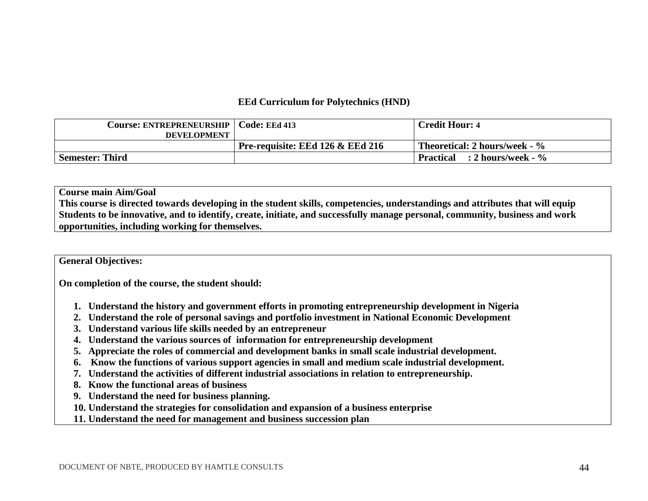#### **EEd Curriculum for Polytechnics (HND)**

| Course: ENTREPRENEURSHIP | Code: EEd 413                    | <b>Credit Hour: 4</b>                              |
|--------------------------|----------------------------------|----------------------------------------------------|
| <b>DEVELOPMENT</b>       |                                  |                                                    |
|                          | Pre-requisite: EEd 126 & EEd 216 | <b>Theoretical: 2 hours/week - <math>\%</math></b> |
| <b>Semester: Third</b>   |                                  | $\therefore$ 2 hours/week - $\%$<br>Practical      |

#### **Course main Aim/Goal**

**This course is directed towards developing in the student skills, competencies, understandings and attributes that will equip Students to be innovative, and to identify, create, initiate, and successfully manage personal, community, business and work opportunities, including working for themselves.** 

#### **General Objectives:**

**On completion of the course, the student should:** 

- **1. Understand the history and government efforts in promoting entrepreneurship development in Nigeria**
- **2. Understand the role of personal savings and portfolio investment in National Economic Development**
- **3. Understand various life skills needed by an entrepreneur**
- **4. Understand the various sources of information for entrepreneurship development**
- **5. Appreciate the roles of commercial and development banks in small scale industrial development.**
- **6. Know the functions of various support agencies in small and medium scale industrial development.**
- **7. Understand the activities of different industrial associations in relation to entrepreneurship.**
- **8. Know the functional areas of business**
- **9. Understand the need for business planning.**
- **10. Understand the strategies for consolidation and expansion of a business enterprise**
- **11. Understand the need for management and business succession plan**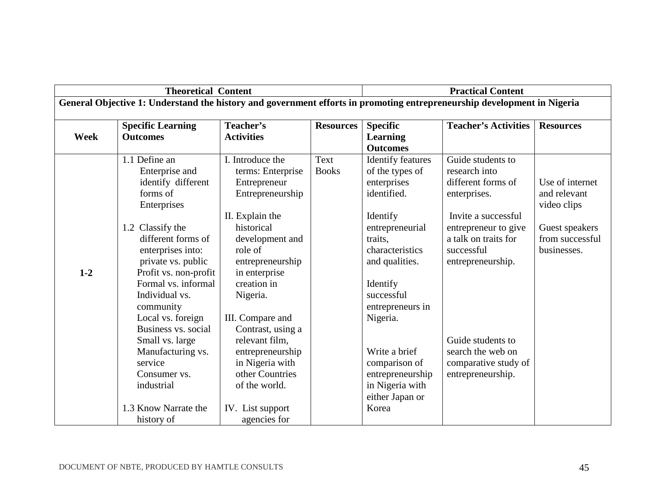| <b>Theoretical Content</b> |                                                                                                                                                                                                                                                                                                                                                                                                           |                                                                                                                                                                                                                                                                                                                                                |                      | <b>Practical Content</b>                                                                                                                                                                                                                                                                                                          |                                                                                                                                                                                                                                                                           |                                                                                                    |
|----------------------------|-----------------------------------------------------------------------------------------------------------------------------------------------------------------------------------------------------------------------------------------------------------------------------------------------------------------------------------------------------------------------------------------------------------|------------------------------------------------------------------------------------------------------------------------------------------------------------------------------------------------------------------------------------------------------------------------------------------------------------------------------------------------|----------------------|-----------------------------------------------------------------------------------------------------------------------------------------------------------------------------------------------------------------------------------------------------------------------------------------------------------------------------------|---------------------------------------------------------------------------------------------------------------------------------------------------------------------------------------------------------------------------------------------------------------------------|----------------------------------------------------------------------------------------------------|
|                            | General Objective 1: Understand the history and government efforts in promoting entrepreneurship development in Nigeria                                                                                                                                                                                                                                                                                   |                                                                                                                                                                                                                                                                                                                                                |                      |                                                                                                                                                                                                                                                                                                                                   |                                                                                                                                                                                                                                                                           |                                                                                                    |
|                            | <b>Specific Learning</b>                                                                                                                                                                                                                                                                                                                                                                                  | Teacher's                                                                                                                                                                                                                                                                                                                                      | <b>Resources</b>     | <b>Specific</b>                                                                                                                                                                                                                                                                                                                   | <b>Teacher's Activities</b>                                                                                                                                                                                                                                               | <b>Resources</b>                                                                                   |
| <b>Week</b>                | <b>Outcomes</b>                                                                                                                                                                                                                                                                                                                                                                                           | <b>Activities</b>                                                                                                                                                                                                                                                                                                                              |                      | <b>Learning</b>                                                                                                                                                                                                                                                                                                                   |                                                                                                                                                                                                                                                                           |                                                                                                    |
|                            |                                                                                                                                                                                                                                                                                                                                                                                                           |                                                                                                                                                                                                                                                                                                                                                |                      |                                                                                                                                                                                                                                                                                                                                   |                                                                                                                                                                                                                                                                           |                                                                                                    |
| $1 - 2$                    | 1.1 Define an<br>Enterprise and<br>identify different<br>forms of<br>Enterprises<br>1.2 Classify the<br>different forms of<br>enterprises into:<br>private vs. public<br>Profit vs. non-profit<br>Formal vs. informal<br>Individual vs.<br>community<br>Local vs. foreign<br>Business vs. social<br>Small vs. large<br>Manufacturing vs.<br>service<br>Consumer vs.<br>industrial<br>1.3 Know Narrate the | I. Introduce the<br>terms: Enterprise<br>Entrepreneur<br>Entrepreneurship<br>II. Explain the<br>historical<br>development and<br>role of<br>entrepreneurship<br>in enterprise<br>creation in<br>Nigeria.<br>III. Compare and<br>Contrast, using a<br>relevant film,<br>entrepreneurship<br>in Nigeria with<br>other Countries<br>of the world. | Text<br><b>Books</b> | <b>Outcomes</b><br><b>Identify features</b><br>of the types of<br>enterprises<br>identified.<br>Identify<br>entrepreneurial<br>traits,<br>characteristics<br>and qualities.<br>Identify<br>successful<br>entrepreneurs in<br>Nigeria.<br>Write a brief<br>comparison of<br>entrepreneurship<br>in Nigeria with<br>either Japan or | Guide students to<br>research into<br>different forms of<br>enterprises.<br>Invite a successful<br>entrepreneur to give<br>a talk on traits for<br>successful<br>entrepreneurship.<br>Guide students to<br>search the web on<br>comparative study of<br>entrepreneurship. | Use of internet<br>and relevant<br>video clips<br>Guest speakers<br>from successful<br>businesses. |
|                            | history of                                                                                                                                                                                                                                                                                                                                                                                                | IV. List support<br>agencies for                                                                                                                                                                                                                                                                                                               |                      | Korea                                                                                                                                                                                                                                                                                                                             |                                                                                                                                                                                                                                                                           |                                                                                                    |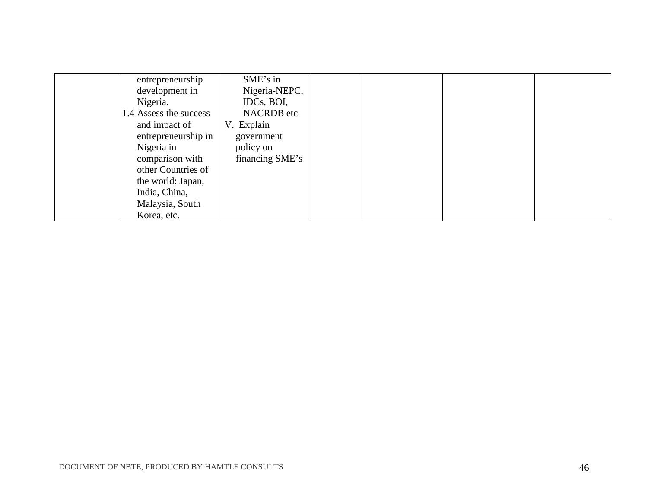| entrepreneurship       | SME's in          |  |  |
|------------------------|-------------------|--|--|
| development in         | Nigeria-NEPC,     |  |  |
| Nigeria.               | IDCs, BOI,        |  |  |
| 1.4 Assess the success | <b>NACRDB</b> etc |  |  |
| and impact of          | V. Explain        |  |  |
| entrepreneurship in    | government        |  |  |
| Nigeria in             | policy on         |  |  |
| comparison with        | financing SME's   |  |  |
| other Countries of     |                   |  |  |
| the world: Japan,      |                   |  |  |
| India, China,          |                   |  |  |
| Malaysia, South        |                   |  |  |
| Korea, etc.            |                   |  |  |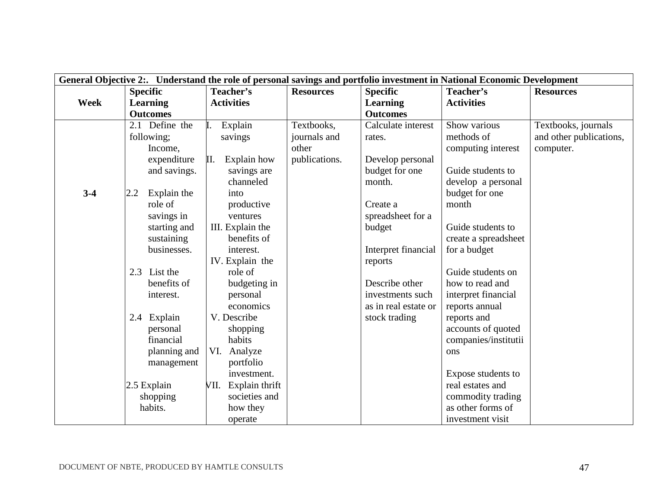|             |                    |                        |                  |                      | General Objective 2:. Understand the role of personal savings and portfolio investment in National Economic Development |                         |
|-------------|--------------------|------------------------|------------------|----------------------|-------------------------------------------------------------------------------------------------------------------------|-------------------------|
|             | <b>Specific</b>    | Teacher's              | <b>Resources</b> | <b>Specific</b>      | Teacher's                                                                                                               | <b>Resources</b>        |
| <b>Week</b> | <b>Learning</b>    | <b>Activities</b>      |                  | <b>Learning</b>      | <b>Activities</b>                                                                                                       |                         |
|             | <b>Outcomes</b>    |                        |                  | <b>Outcomes</b>      |                                                                                                                         |                         |
|             | 2.1 Define the     | Explain                | Textbooks,       | Calculate interest   | Show various                                                                                                            | Textbooks, journals     |
|             | following;         | savings                | journals and     | rates.               | methods of                                                                                                              | and other publications, |
|             | Income,            |                        | other            |                      | computing interest                                                                                                      | computer.               |
|             | expenditure        | Explain how<br>П.      | publications.    | Develop personal     |                                                                                                                         |                         |
|             | and savings.       | savings are            |                  | budget for one       | Guide students to                                                                                                       |                         |
|             |                    | channeled              |                  | month.               | develop a personal                                                                                                      |                         |
| $3-4$       | Explain the<br>2.2 | into                   |                  |                      | budget for one                                                                                                          |                         |
|             | role of            | productive             |                  | Create a             | month                                                                                                                   |                         |
|             | savings in         | ventures               |                  | spreadsheet for a    |                                                                                                                         |                         |
|             | starting and       | III. Explain the       |                  | budget               | Guide students to                                                                                                       |                         |
|             | sustaining         | benefits of            |                  |                      | create a spreadsheet                                                                                                    |                         |
|             | businesses.        | interest.              |                  | Interpret financial  | for a budget                                                                                                            |                         |
|             |                    | IV. Explain the        |                  | reports              |                                                                                                                         |                         |
|             | 2.3 List the       | role of                |                  |                      | Guide students on                                                                                                       |                         |
|             | benefits of        | budgeting in           |                  | Describe other       | how to read and                                                                                                         |                         |
|             | interest.          | personal               |                  | investments such     | interpret financial                                                                                                     |                         |
|             |                    | economics              |                  | as in real estate or | reports annual                                                                                                          |                         |
|             | 2.4 Explain        | V. Describe            |                  | stock trading        | reports and                                                                                                             |                         |
|             | personal           | shopping               |                  |                      | accounts of quoted                                                                                                      |                         |
|             | financial          | habits                 |                  |                      | companies/institutii                                                                                                    |                         |
|             | planning and       | VI.<br>Analyze         |                  |                      | ons                                                                                                                     |                         |
|             | management         | portfolio              |                  |                      |                                                                                                                         |                         |
|             |                    | investment.            |                  |                      | Expose students to                                                                                                      |                         |
|             | $2.5$ Explain      | Explain thrift<br>VII. |                  |                      | real estates and                                                                                                        |                         |
|             | shopping           | societies and          |                  |                      | commodity trading                                                                                                       |                         |
|             | habits.            | how they               |                  |                      | as other forms of                                                                                                       |                         |
|             |                    | operate                |                  |                      | investment visit                                                                                                        |                         |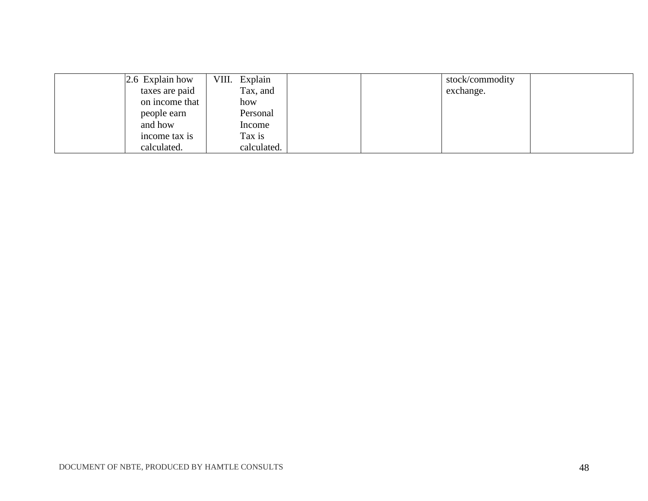| $2.6$ Explain how | VIII. Explain |  | stock/commodity |  |
|-------------------|---------------|--|-----------------|--|
| taxes are paid    | Tax, and      |  | exchange.       |  |
| on income that    | how           |  |                 |  |
| people earn       | Personal      |  |                 |  |
| and how           | Income        |  |                 |  |
| income tax is     | Tax is        |  |                 |  |
| calculated.       | calculated.   |  |                 |  |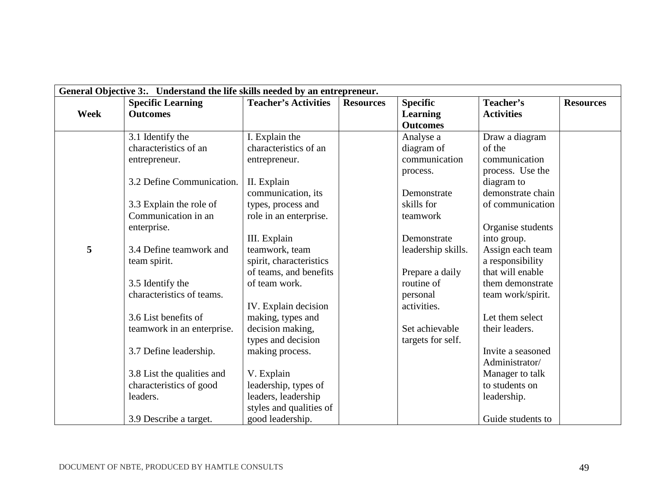|      |                            |                             | General Objective 3:. Understand the life skills needed by an entrepreneur. |                    |                   |                  |  |  |  |  |
|------|----------------------------|-----------------------------|-----------------------------------------------------------------------------|--------------------|-------------------|------------------|--|--|--|--|
|      | <b>Specific Learning</b>   | <b>Teacher's Activities</b> | <b>Resources</b>                                                            | <b>Specific</b>    | Teacher's         | <b>Resources</b> |  |  |  |  |
| Week | <b>Outcomes</b>            |                             |                                                                             | <b>Learning</b>    | <b>Activities</b> |                  |  |  |  |  |
|      |                            |                             |                                                                             | <b>Outcomes</b>    |                   |                  |  |  |  |  |
|      | 3.1 Identify the           | I. Explain the              |                                                                             | Analyse a          | Draw a diagram    |                  |  |  |  |  |
|      | characteristics of an      | characteristics of an       |                                                                             | diagram of         | of the            |                  |  |  |  |  |
|      | entrepreneur.              | entrepreneur.               |                                                                             | communication      | communication     |                  |  |  |  |  |
|      |                            |                             |                                                                             | process.           | process. Use the  |                  |  |  |  |  |
|      | 3.2 Define Communication.  | II. Explain                 |                                                                             |                    | diagram to        |                  |  |  |  |  |
|      |                            | communication, its          |                                                                             | Demonstrate        | demonstrate chain |                  |  |  |  |  |
|      | 3.3 Explain the role of    | types, process and          |                                                                             | skills for         | of communication  |                  |  |  |  |  |
|      | Communication in an        | role in an enterprise.      |                                                                             | teamwork           |                   |                  |  |  |  |  |
|      | enterprise.                |                             |                                                                             |                    | Organise students |                  |  |  |  |  |
|      |                            | III. Explain                |                                                                             | Demonstrate        | into group.       |                  |  |  |  |  |
| 5    | 3.4 Define teamwork and    | teamwork, team              |                                                                             | leadership skills. | Assign each team  |                  |  |  |  |  |
|      | team spirit.               | spirit, characteristics     |                                                                             |                    | a responsibility  |                  |  |  |  |  |
|      |                            | of teams, and benefits      |                                                                             | Prepare a daily    | that will enable  |                  |  |  |  |  |
|      | 3.5 Identify the           | of team work.               |                                                                             | routine of         | them demonstrate  |                  |  |  |  |  |
|      | characteristics of teams.  |                             |                                                                             | personal           | team work/spirit. |                  |  |  |  |  |
|      |                            | IV. Explain decision        |                                                                             | activities.        |                   |                  |  |  |  |  |
|      | 3.6 List benefits of       | making, types and           |                                                                             |                    | Let them select   |                  |  |  |  |  |
|      | teamwork in an enterprise. | decision making,            |                                                                             | Set achievable     | their leaders.    |                  |  |  |  |  |
|      |                            | types and decision          |                                                                             | targets for self.  |                   |                  |  |  |  |  |
|      | 3.7 Define leadership.     | making process.             |                                                                             |                    | Invite a seasoned |                  |  |  |  |  |
|      |                            |                             |                                                                             |                    | Administrator/    |                  |  |  |  |  |
|      | 3.8 List the qualities and | V. Explain                  |                                                                             |                    | Manager to talk   |                  |  |  |  |  |
|      | characteristics of good    | leadership, types of        |                                                                             |                    | to students on    |                  |  |  |  |  |
|      | leaders.                   | leaders, leadership         |                                                                             |                    | leadership.       |                  |  |  |  |  |
|      |                            | styles and qualities of     |                                                                             |                    |                   |                  |  |  |  |  |
|      | 3.9 Describe a target.     | good leadership.            |                                                                             |                    | Guide students to |                  |  |  |  |  |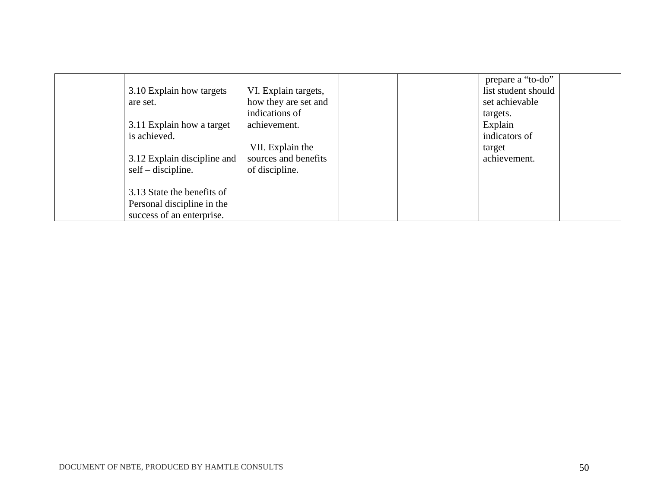| 3.10 Explain how targets<br>are set.<br>3.11 Explain how a target<br>is achieved.<br>3.12 Explain discipline and<br>$self-discpline.$ | VI. Explain targets,<br>how they are set and<br>indications of<br>achievement.<br>VII. Explain the<br>sources and benefits<br>of discipline. |  | prepare a "to-do"<br>list student should<br>set achievable<br>targets.<br>Explain<br>indicators of<br>target<br>achievement. |  |
|---------------------------------------------------------------------------------------------------------------------------------------|----------------------------------------------------------------------------------------------------------------------------------------------|--|------------------------------------------------------------------------------------------------------------------------------|--|
| 3.13 State the benefits of<br>Personal discipline in the<br>success of an enterprise.                                                 |                                                                                                                                              |  |                                                                                                                              |  |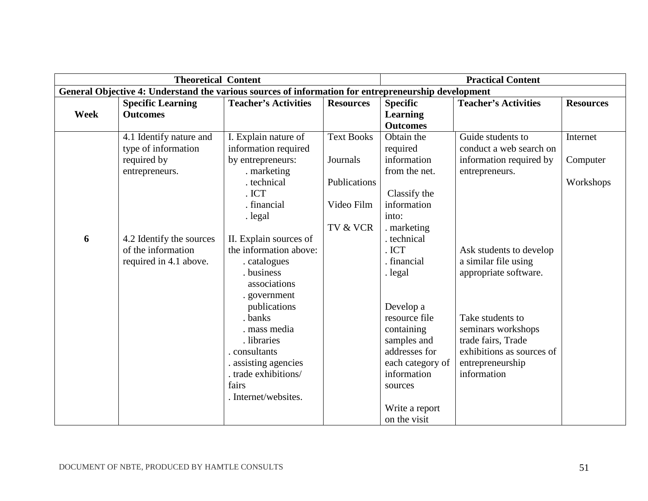|             | <b>Theoretical Content</b>                                                                          |                                                                                                                                                          |                            | <b>Practical Content</b>                                                                                                                 |                                                                                                                              |                  |
|-------------|-----------------------------------------------------------------------------------------------------|----------------------------------------------------------------------------------------------------------------------------------------------------------|----------------------------|------------------------------------------------------------------------------------------------------------------------------------------|------------------------------------------------------------------------------------------------------------------------------|------------------|
|             | General Objective 4: Understand the various sources of information for entrepreneurship development |                                                                                                                                                          |                            |                                                                                                                                          |                                                                                                                              |                  |
| <b>Week</b> | <b>Specific Learning</b><br><b>Outcomes</b>                                                         | <b>Teacher's Activities</b>                                                                                                                              | <b>Resources</b>           | <b>Specific</b><br><b>Learning</b><br><b>Outcomes</b>                                                                                    | <b>Teacher's Activities</b>                                                                                                  | <b>Resources</b> |
|             | 4.1 Identify nature and<br>type of information                                                      | I. Explain nature of<br>information required                                                                                                             | <b>Text Books</b>          | Obtain the<br>required                                                                                                                   | Guide students to<br>conduct a web search on                                                                                 | Internet         |
|             | required by<br>entrepreneurs.                                                                       | by entrepreneurs:<br>. marketing                                                                                                                         | Journals                   | information<br>from the net.                                                                                                             | information required by<br>entrepreneurs.                                                                                    | Computer         |
|             |                                                                                                     | . technical<br>. ICT<br>. financial                                                                                                                      | Publications<br>Video Film | Classify the<br>information                                                                                                              |                                                                                                                              | Workshops        |
|             |                                                                                                     | . legal                                                                                                                                                  |                            | into:                                                                                                                                    |                                                                                                                              |                  |
| 6           | 4.2 Identify the sources                                                                            | II. Explain sources of                                                                                                                                   | TV & VCR                   | marketing<br>technical                                                                                                                   |                                                                                                                              |                  |
|             | of the information<br>required in 4.1 above.                                                        | the information above:<br>. catalogues<br>business<br>associations<br>. government                                                                       |                            | . ICT<br>financial<br>. legal                                                                                                            | Ask students to develop<br>a similar file using<br>appropriate software.                                                     |                  |
|             |                                                                                                     | publications<br>. banks<br>. mass media<br>. libraries<br>. consultants<br>. assisting agencies<br>. trade exhibitions/<br>fairs<br>. Internet/websites. |                            | Develop a<br>resource file<br>containing<br>samples and<br>addresses for<br>each category of<br>information<br>sources<br>Write a report | Take students to<br>seminars workshops<br>trade fairs, Trade<br>exhibitions as sources of<br>entrepreneurship<br>information |                  |
|             |                                                                                                     |                                                                                                                                                          |                            | on the visit                                                                                                                             |                                                                                                                              |                  |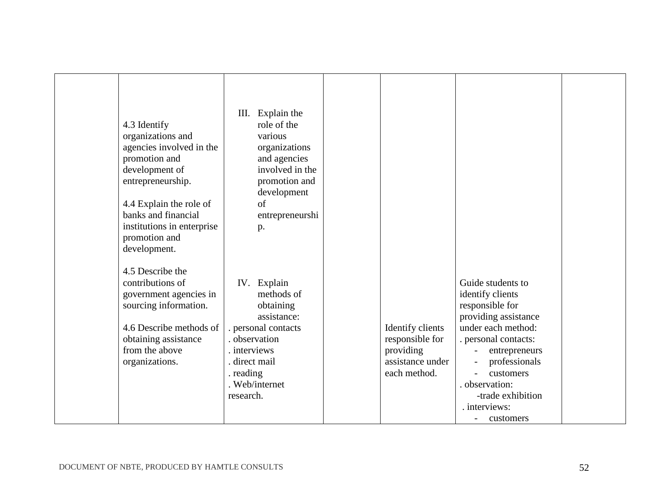| 4.3 Identify<br>organizations and<br>agencies involved in the<br>promotion and<br>development of<br>entrepreneurship.<br>4.4 Explain the role of<br>banks and financial<br>institutions in enterprise<br>promotion and<br>development. | Explain the<br>III.<br>role of the<br>various<br>organizations<br>and agencies<br>involved in the<br>promotion and<br>development<br>of<br>entrepreneurshi<br>p.       |                                                                                      |                                                                                                                                                                                                                                                                              |  |
|----------------------------------------------------------------------------------------------------------------------------------------------------------------------------------------------------------------------------------------|------------------------------------------------------------------------------------------------------------------------------------------------------------------------|--------------------------------------------------------------------------------------|------------------------------------------------------------------------------------------------------------------------------------------------------------------------------------------------------------------------------------------------------------------------------|--|
| 4.5 Describe the<br>contributions of<br>government agencies in<br>sourcing information.<br>4.6 Describe methods of<br>obtaining assistance<br>from the above<br>organizations.                                                         | IV. Explain<br>methods of<br>obtaining<br>assistance:<br>. personal contacts<br>observation<br>. interviews<br>direct mail<br>. reading<br>. Web/internet<br>research. | Identify clients<br>responsible for<br>providing<br>assistance under<br>each method. | Guide students to<br>identify clients<br>responsible for<br>providing assistance<br>under each method:<br>. personal contacts:<br>entrepreneurs<br>professionals<br>customers<br>observation:<br>-trade exhibition<br>. interviews:<br>customers<br>$\overline{\phantom{a}}$ |  |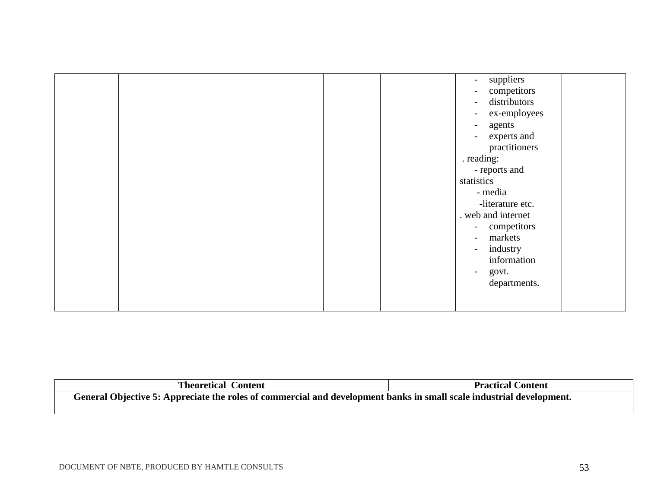|  |  | suppliers<br>$ \,$             |
|--|--|--------------------------------|
|  |  |                                |
|  |  | competitors<br>$\blacksquare$  |
|  |  | distributors<br>$\sim$ $^{-1}$ |
|  |  | ex-employees<br>$\sim$         |
|  |  | agents<br>$\blacksquare$       |
|  |  | experts and<br>$\overline{a}$  |
|  |  | practitioners                  |
|  |  | . reading:                     |
|  |  | - reports and                  |
|  |  | statistics                     |
|  |  | - media                        |
|  |  | -literature etc.               |
|  |  | . web and internet             |
|  |  | - competitors                  |
|  |  | markets<br>$\sim$ $^{-1}$      |
|  |  | industry<br>$\sim$ $^{-1}$     |
|  |  | information                    |
|  |  | govt.<br>$\blacksquare$        |
|  |  | departments.                   |
|  |  |                                |
|  |  |                                |
|  |  |                                |

| <b>Theoretical Content</b>                                                                                           | <b>Practical Content</b> |
|----------------------------------------------------------------------------------------------------------------------|--------------------------|
| General Objective 5: Appreciate the roles of commercial and development banks in small scale industrial development. |                          |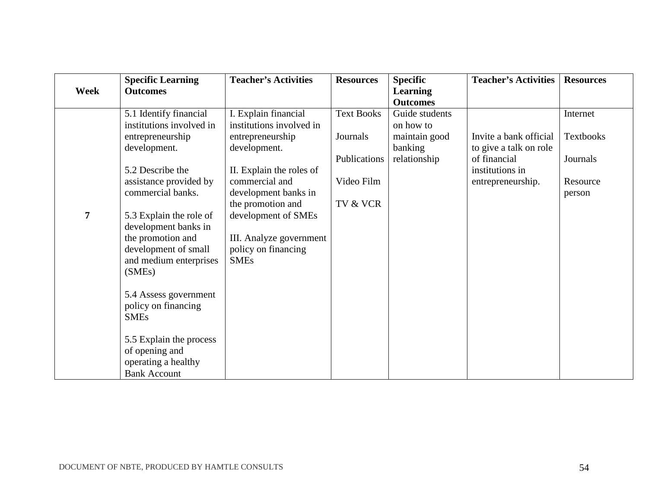| Week | <b>Specific Learning</b><br><b>Outcomes</b>                                                                                      | <b>Teacher's Activities</b>                                                                               | <b>Resources</b>  | <b>Specific</b><br><b>Learning</b><br><b>Outcomes</b> | <b>Teacher's Activities</b>                      | <b>Resources</b>   |
|------|----------------------------------------------------------------------------------------------------------------------------------|-----------------------------------------------------------------------------------------------------------|-------------------|-------------------------------------------------------|--------------------------------------------------|--------------------|
|      | 5.1 Identify financial<br>institutions involved in                                                                               | I. Explain financial<br>institutions involved in                                                          | <b>Text Books</b> | Guide students<br>on how to                           |                                                  | Internet           |
|      | entrepreneurship<br>development.                                                                                                 | entrepreneurship<br>development.                                                                          | Journals          | maintain good<br>banking                              | Invite a bank official<br>to give a talk on role | <b>Textbooks</b>   |
|      | 5.2 Describe the                                                                                                                 | II. Explain the roles of                                                                                  | Publications      | relationship                                          | of financial<br>institutions in                  | Journals           |
|      | assistance provided by<br>commercial banks.                                                                                      | commercial and<br>development banks in                                                                    | Video Film        |                                                       | entrepreneurship.                                | Resource<br>person |
| 7    | 5.3 Explain the role of<br>development banks in<br>the promotion and<br>development of small<br>and medium enterprises<br>(SMEs) | the promotion and<br>development of SMEs<br>III. Analyze government<br>policy on financing<br><b>SMEs</b> | TV & VCR          |                                                       |                                                  |                    |
|      | 5.4 Assess government<br>policy on financing<br><b>SMEs</b>                                                                      |                                                                                                           |                   |                                                       |                                                  |                    |
|      | 5.5 Explain the process<br>of opening and<br>operating a healthy<br><b>Bank Account</b>                                          |                                                                                                           |                   |                                                       |                                                  |                    |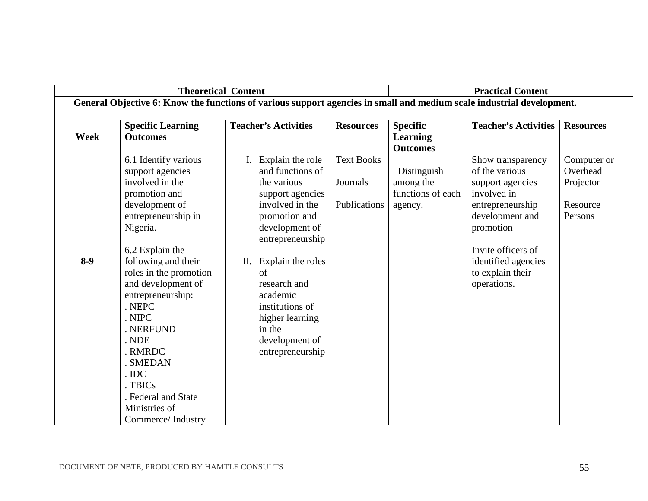|             | <b>Theoretical Content</b>                                                                                            |    | <b>Practical Content</b>    |                   |                   |                             |                  |
|-------------|-----------------------------------------------------------------------------------------------------------------------|----|-----------------------------|-------------------|-------------------|-----------------------------|------------------|
|             | General Objective 6: Know the functions of various support agencies in small and medium scale industrial development. |    |                             |                   |                   |                             |                  |
|             | <b>Specific Learning</b>                                                                                              |    | <b>Teacher's Activities</b> | <b>Resources</b>  | <b>Specific</b>   | <b>Teacher's Activities</b> | <b>Resources</b> |
| <b>Week</b> | <b>Outcomes</b>                                                                                                       |    |                             |                   | <b>Learning</b>   |                             |                  |
|             |                                                                                                                       |    |                             |                   | <b>Outcomes</b>   |                             |                  |
|             | 6.1 Identify various                                                                                                  | I. | Explain the role            | <b>Text Books</b> |                   | Show transparency           | Computer or      |
|             | support agencies                                                                                                      |    | and functions of            |                   | Distinguish       | of the various              | Overhead         |
|             | involved in the                                                                                                       |    | the various                 | Journals          | among the         | support agencies            | Projector        |
|             | promotion and                                                                                                         |    | support agencies            |                   | functions of each | involved in                 |                  |
|             | development of                                                                                                        |    | involved in the             | Publications      | agency.           | entrepreneurship            | Resource         |
|             | entrepreneurship in                                                                                                   |    | promotion and               |                   |                   | development and             | Persons          |
|             | Nigeria.                                                                                                              |    | development of              |                   |                   | promotion                   |                  |
|             |                                                                                                                       |    | entrepreneurship            |                   |                   |                             |                  |
|             | 6.2 Explain the                                                                                                       |    |                             |                   |                   | Invite officers of          |                  |
| $8-9$       | following and their                                                                                                   | П. | Explain the roles           |                   |                   | identified agencies         |                  |
|             | roles in the promotion                                                                                                |    | of                          |                   |                   | to explain their            |                  |
|             | and development of                                                                                                    |    | research and                |                   |                   | operations.                 |                  |
|             | entrepreneurship:                                                                                                     |    | academic                    |                   |                   |                             |                  |
|             | . NEPC                                                                                                                |    | institutions of             |                   |                   |                             |                  |
|             | . NIPC                                                                                                                |    | higher learning             |                   |                   |                             |                  |
|             | NERFUND                                                                                                               |    | in the                      |                   |                   |                             |                  |
|             | . NDE                                                                                                                 |    | development of              |                   |                   |                             |                  |
|             | RMRDC                                                                                                                 |    | entrepreneurship            |                   |                   |                             |                  |
|             | <b>SMEDAN</b>                                                                                                         |    |                             |                   |                   |                             |                  |
|             | . IDC                                                                                                                 |    |                             |                   |                   |                             |                  |
|             | TBIC <sub>s</sub>                                                                                                     |    |                             |                   |                   |                             |                  |
|             | . Federal and State                                                                                                   |    |                             |                   |                   |                             |                  |
|             | Ministries of                                                                                                         |    |                             |                   |                   |                             |                  |
|             | Commerce/Industry                                                                                                     |    |                             |                   |                   |                             |                  |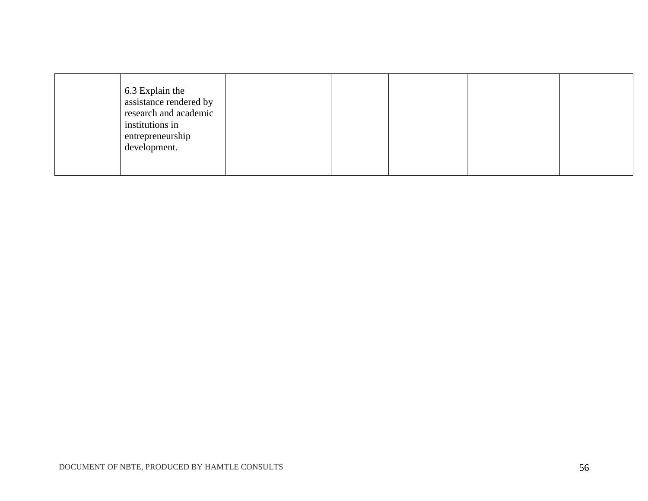| 6.3 Explain the<br>assistance rendered by<br>research and academic<br>institutions in<br>entrepreneurship<br>development. |  |  |  |  |  |
|---------------------------------------------------------------------------------------------------------------------------|--|--|--|--|--|
|---------------------------------------------------------------------------------------------------------------------------|--|--|--|--|--|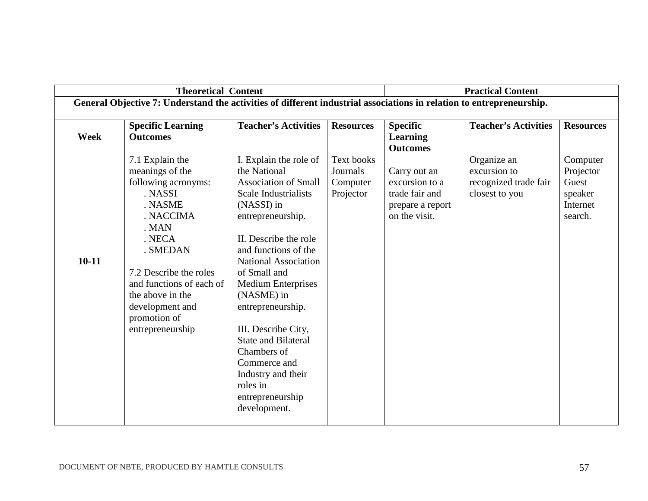|             | <b>Theoretical Content</b>                                                                                                                                                                                                                                   |                                                                                                                                                                                                                                                                                                                                                                                                                                                     |                                                        | <b>Practical Content</b>                                                              |                                                                        |                                                                  |  |
|-------------|--------------------------------------------------------------------------------------------------------------------------------------------------------------------------------------------------------------------------------------------------------------|-----------------------------------------------------------------------------------------------------------------------------------------------------------------------------------------------------------------------------------------------------------------------------------------------------------------------------------------------------------------------------------------------------------------------------------------------------|--------------------------------------------------------|---------------------------------------------------------------------------------------|------------------------------------------------------------------------|------------------------------------------------------------------|--|
|             | General Objective 7: Understand the activities of different industrial associations in relation to entrepreneurship.                                                                                                                                         |                                                                                                                                                                                                                                                                                                                                                                                                                                                     |                                                        |                                                                                       |                                                                        |                                                                  |  |
| <b>Week</b> | <b>Specific Learning</b><br><b>Outcomes</b>                                                                                                                                                                                                                  | <b>Teacher's Activities</b>                                                                                                                                                                                                                                                                                                                                                                                                                         | <b>Resources</b>                                       | <b>Specific</b><br><b>Learning</b><br><b>Outcomes</b>                                 | <b>Teacher's Activities</b>                                            | <b>Resources</b>                                                 |  |
| $10 - 11$   | 7.1 Explain the<br>meanings of the<br>following acronyms:<br>. NASSI<br>. NASME<br>. NACCIMA<br>. MAN<br>. NECA<br>. SMEDAN<br>7.2 Describe the roles<br>and functions of each of<br>the above in the<br>development and<br>promotion of<br>entrepreneurship | I. Explain the role of<br>the National<br><b>Association of Small</b><br>Scale Industrialists<br>(NASSI) in<br>entrepreneurship.<br>II. Describe the role<br>and functions of the<br>National Association<br>of Small and<br><b>Medium Enterprises</b><br>(NASME) in<br>entrepreneurship.<br>III. Describe City,<br><b>State and Bilateral</b><br>Chambers of<br>Commerce and<br>Industry and their<br>roles in<br>entrepreneurship<br>development. | <b>Text books</b><br>Journals<br>Computer<br>Projector | Carry out an<br>excursion to a<br>trade fair and<br>prepare a report<br>on the visit. | Organize an<br>excursion to<br>recognized trade fair<br>closest to you | Computer<br>Projector<br>Guest<br>speaker<br>Internet<br>search. |  |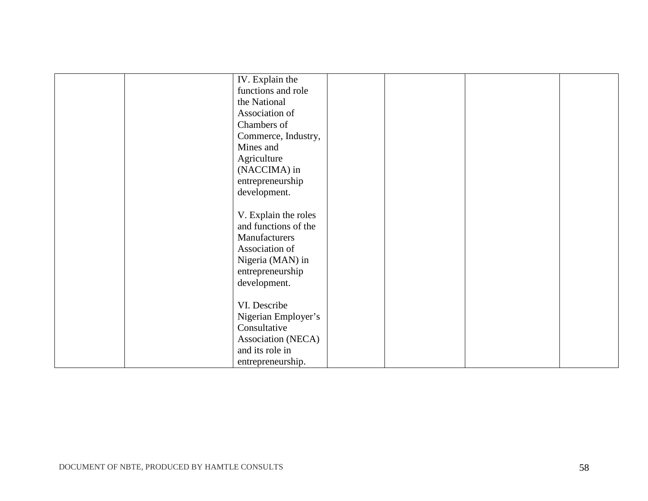| IV. Explain the      |  |  |
|----------------------|--|--|
| functions and role   |  |  |
| the National         |  |  |
| Association of       |  |  |
| Chambers of          |  |  |
| Commerce, Industry,  |  |  |
| Mines and            |  |  |
| Agriculture          |  |  |
| (NACCIMA) in         |  |  |
| entrepreneurship     |  |  |
| development.         |  |  |
|                      |  |  |
| V. Explain the roles |  |  |
| and functions of the |  |  |
| Manufacturers        |  |  |
| Association of       |  |  |
| Nigeria (MAN) in     |  |  |
| entrepreneurship     |  |  |
| development.         |  |  |
|                      |  |  |
| VI. Describe         |  |  |
| Nigerian Employer's  |  |  |
| Consultative         |  |  |
| Association (NECA)   |  |  |
| and its role in      |  |  |
| entrepreneurship.    |  |  |
|                      |  |  |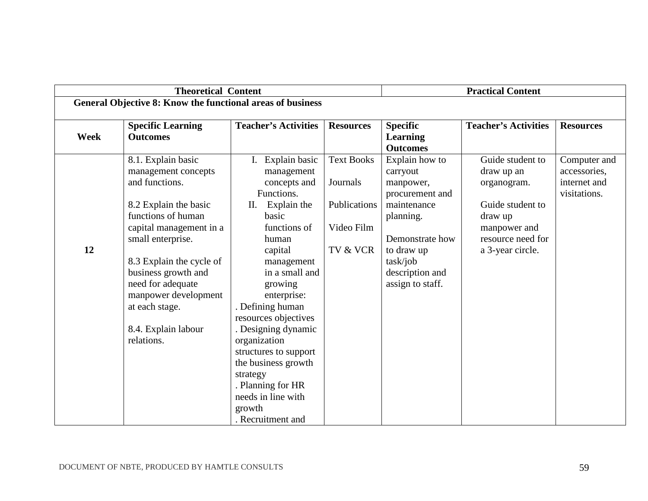|             | <b>Theoretical Content</b>                                 |                                |                   | <b>Practical Content</b> |                             |                  |
|-------------|------------------------------------------------------------|--------------------------------|-------------------|--------------------------|-----------------------------|------------------|
|             | General Objective 8: Know the functional areas of business |                                |                   |                          |                             |                  |
|             |                                                            | <b>Teacher's Activities</b>    | <b>Resources</b>  | <b>Specific</b>          | <b>Teacher's Activities</b> | <b>Resources</b> |
| <b>Week</b> | <b>Specific Learning</b><br><b>Outcomes</b>                |                                |                   | <b>Learning</b>          |                             |                  |
|             |                                                            |                                |                   | <b>Outcomes</b>          |                             |                  |
|             | 8.1. Explain basic                                         | $\overline{I}$ . Explain basic | <b>Text Books</b> | Explain how to           | Guide student to            | Computer and     |
|             | management concepts                                        | management                     |                   | carryout                 | draw up an                  | accessories,     |
|             | and functions.                                             | concepts and                   | Journals          | manpower,                | organogram.                 | internet and     |
|             |                                                            | Functions.                     |                   | procurement and          |                             | visitations.     |
|             | 8.2 Explain the basic                                      | Explain the<br>Π.              | Publications      | maintenance              | Guide student to            |                  |
|             | functions of human                                         | basic                          |                   | planning.                | draw up                     |                  |
|             | capital management in a                                    | functions of                   | Video Film        |                          | manpower and                |                  |
|             | small enterprise.                                          | human                          |                   | Demonstrate how          | resource need for           |                  |
| 12          |                                                            | capital                        | TV & VCR          | to draw up               | a 3-year circle.            |                  |
|             | 8.3 Explain the cycle of                                   | management                     |                   | task/job                 |                             |                  |
|             | business growth and                                        | in a small and                 |                   | description and          |                             |                  |
|             | need for adequate                                          | growing                        |                   | assign to staff.         |                             |                  |
|             | manpower development                                       | enterprise:                    |                   |                          |                             |                  |
|             | at each stage.                                             | . Defining human               |                   |                          |                             |                  |
|             |                                                            | resources objectives           |                   |                          |                             |                  |
|             | 8.4. Explain labour                                        | . Designing dynamic            |                   |                          |                             |                  |
|             | relations.                                                 | organization                   |                   |                          |                             |                  |
|             |                                                            | structures to support          |                   |                          |                             |                  |
|             |                                                            | the business growth            |                   |                          |                             |                  |
|             |                                                            | strategy                       |                   |                          |                             |                  |
|             |                                                            | . Planning for HR              |                   |                          |                             |                  |
|             |                                                            | needs in line with             |                   |                          |                             |                  |
|             |                                                            | growth                         |                   |                          |                             |                  |
|             |                                                            | . Recruitment and              |                   |                          |                             |                  |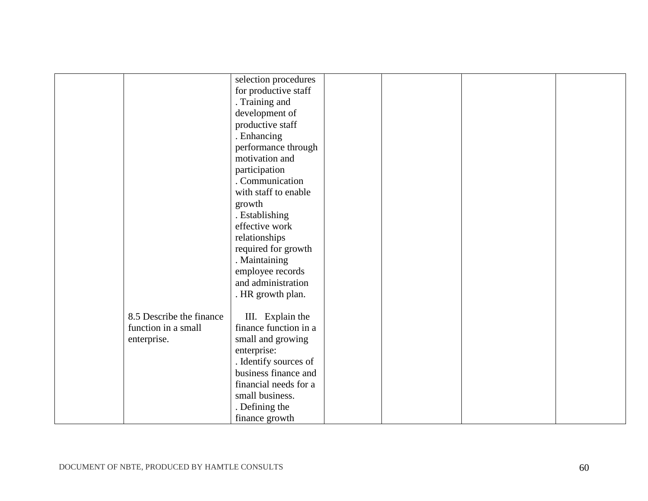| selection procedures<br>for productive staff<br>. Training and<br>development of<br>productive staff<br>. Enhancing<br>performance through<br>motivation and<br>participation<br>. Communication<br>with staff to enable<br>growth<br>. Establishing<br>effective work<br>relationships<br>required for growth<br>. Maintaining<br>employee records<br>and administration<br>. HR growth plan.<br>8.5 Describe the finance<br>III. Explain the<br>finance function in a<br>function in a small<br>enterprise.<br>small and growing |  |             |  |  |
|------------------------------------------------------------------------------------------------------------------------------------------------------------------------------------------------------------------------------------------------------------------------------------------------------------------------------------------------------------------------------------------------------------------------------------------------------------------------------------------------------------------------------------|--|-------------|--|--|
|                                                                                                                                                                                                                                                                                                                                                                                                                                                                                                                                    |  |             |  |  |
|                                                                                                                                                                                                                                                                                                                                                                                                                                                                                                                                    |  |             |  |  |
|                                                                                                                                                                                                                                                                                                                                                                                                                                                                                                                                    |  |             |  |  |
|                                                                                                                                                                                                                                                                                                                                                                                                                                                                                                                                    |  |             |  |  |
|                                                                                                                                                                                                                                                                                                                                                                                                                                                                                                                                    |  |             |  |  |
|                                                                                                                                                                                                                                                                                                                                                                                                                                                                                                                                    |  |             |  |  |
|                                                                                                                                                                                                                                                                                                                                                                                                                                                                                                                                    |  |             |  |  |
|                                                                                                                                                                                                                                                                                                                                                                                                                                                                                                                                    |  |             |  |  |
|                                                                                                                                                                                                                                                                                                                                                                                                                                                                                                                                    |  |             |  |  |
|                                                                                                                                                                                                                                                                                                                                                                                                                                                                                                                                    |  |             |  |  |
|                                                                                                                                                                                                                                                                                                                                                                                                                                                                                                                                    |  |             |  |  |
|                                                                                                                                                                                                                                                                                                                                                                                                                                                                                                                                    |  |             |  |  |
|                                                                                                                                                                                                                                                                                                                                                                                                                                                                                                                                    |  |             |  |  |
|                                                                                                                                                                                                                                                                                                                                                                                                                                                                                                                                    |  |             |  |  |
|                                                                                                                                                                                                                                                                                                                                                                                                                                                                                                                                    |  |             |  |  |
|                                                                                                                                                                                                                                                                                                                                                                                                                                                                                                                                    |  |             |  |  |
|                                                                                                                                                                                                                                                                                                                                                                                                                                                                                                                                    |  |             |  |  |
|                                                                                                                                                                                                                                                                                                                                                                                                                                                                                                                                    |  |             |  |  |
|                                                                                                                                                                                                                                                                                                                                                                                                                                                                                                                                    |  |             |  |  |
|                                                                                                                                                                                                                                                                                                                                                                                                                                                                                                                                    |  |             |  |  |
|                                                                                                                                                                                                                                                                                                                                                                                                                                                                                                                                    |  |             |  |  |
|                                                                                                                                                                                                                                                                                                                                                                                                                                                                                                                                    |  |             |  |  |
|                                                                                                                                                                                                                                                                                                                                                                                                                                                                                                                                    |  |             |  |  |
|                                                                                                                                                                                                                                                                                                                                                                                                                                                                                                                                    |  |             |  |  |
|                                                                                                                                                                                                                                                                                                                                                                                                                                                                                                                                    |  | enterprise: |  |  |
| . Identify sources of                                                                                                                                                                                                                                                                                                                                                                                                                                                                                                              |  |             |  |  |
| business finance and                                                                                                                                                                                                                                                                                                                                                                                                                                                                                                               |  |             |  |  |
| financial needs for a                                                                                                                                                                                                                                                                                                                                                                                                                                                                                                              |  |             |  |  |
| small business.                                                                                                                                                                                                                                                                                                                                                                                                                                                                                                                    |  |             |  |  |
| . Defining the                                                                                                                                                                                                                                                                                                                                                                                                                                                                                                                     |  |             |  |  |
| finance growth                                                                                                                                                                                                                                                                                                                                                                                                                                                                                                                     |  |             |  |  |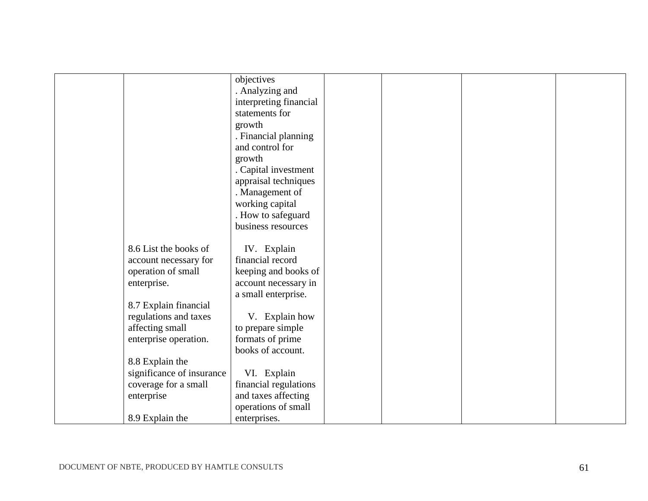|                           | objectives             |  |  |
|---------------------------|------------------------|--|--|
|                           | . Analyzing and        |  |  |
|                           | interpreting financial |  |  |
|                           | statements for         |  |  |
|                           | growth                 |  |  |
|                           | . Financial planning   |  |  |
|                           | and control for        |  |  |
|                           | growth                 |  |  |
|                           | Capital investment     |  |  |
|                           | appraisal techniques   |  |  |
|                           | . Management of        |  |  |
|                           | working capital        |  |  |
|                           | . How to safeguard     |  |  |
|                           | business resources     |  |  |
|                           |                        |  |  |
| 8.6 List the books of     | IV. Explain            |  |  |
| account necessary for     | financial record       |  |  |
| operation of small        | keeping and books of   |  |  |
| enterprise.               | account necessary in   |  |  |
|                           | a small enterprise.    |  |  |
| 8.7 Explain financial     |                        |  |  |
| regulations and taxes     | V. Explain how         |  |  |
| affecting small           | to prepare simple      |  |  |
| enterprise operation.     | formats of prime       |  |  |
|                           | books of account.      |  |  |
| 8.8 Explain the           |                        |  |  |
| significance of insurance | VI. Explain            |  |  |
| coverage for a small      | financial regulations  |  |  |
| enterprise                | and taxes affecting    |  |  |
|                           | operations of small    |  |  |
| 8.9 Explain the           | enterprises.           |  |  |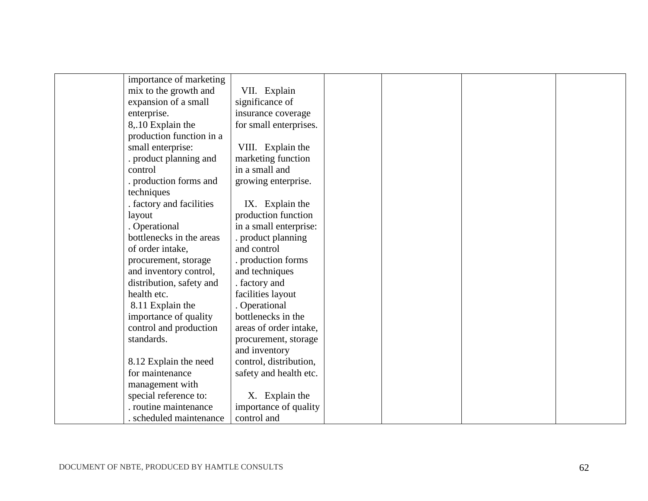| importance of marketing  |                        |  |  |
|--------------------------|------------------------|--|--|
| mix to the growth and    | VII. Explain           |  |  |
| expansion of a small     | significance of        |  |  |
| enterprise.              | insurance coverage     |  |  |
| 8,.10 Explain the        | for small enterprises. |  |  |
| production function in a |                        |  |  |
| small enterprise:        | VIII. Explain the      |  |  |
| . product planning and   | marketing function     |  |  |
| control                  | in a small and         |  |  |
| . production forms and   | growing enterprise.    |  |  |
| techniques               |                        |  |  |
| . factory and facilities | IX. Explain the        |  |  |
| layout                   | production function    |  |  |
| . Operational            | in a small enterprise: |  |  |
| bottlenecks in the areas | . product planning     |  |  |
| of order intake,         | and control            |  |  |
| procurement, storage     | . production forms     |  |  |
| and inventory control,   | and techniques         |  |  |
| distribution, safety and | . factory and          |  |  |
| health etc.              | facilities layout      |  |  |
| 8.11 Explain the         | . Operational          |  |  |
| importance of quality    | bottlenecks in the     |  |  |
| control and production   | areas of order intake, |  |  |
| standards.               | procurement, storage   |  |  |
|                          | and inventory          |  |  |
| 8.12 Explain the need    | control, distribution, |  |  |
| for maintenance          | safety and health etc. |  |  |
| management with          |                        |  |  |
| special reference to:    | X. Explain the         |  |  |
| . routine maintenance    | importance of quality  |  |  |
| . scheduled maintenance  | control and            |  |  |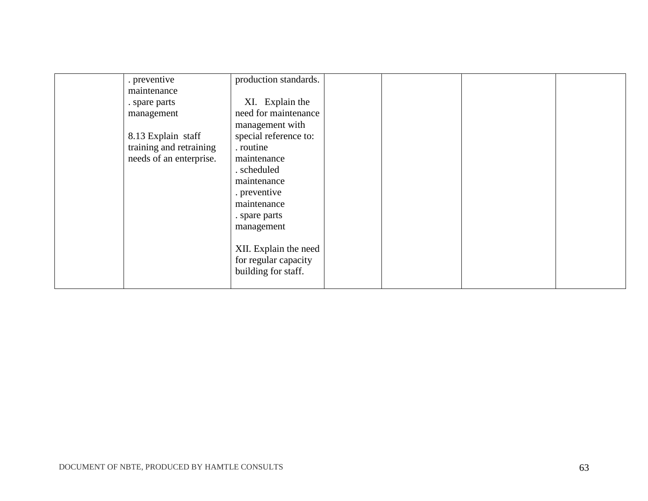| . preventive            | production standards. |  |  |
|-------------------------|-----------------------|--|--|
| maintenance             |                       |  |  |
| . spare parts           | XI. Explain the       |  |  |
| management              | need for maintenance  |  |  |
|                         | management with       |  |  |
| 8.13 Explain staff      | special reference to: |  |  |
| training and retraining | . routine             |  |  |
| needs of an enterprise. | maintenance           |  |  |
|                         | . scheduled           |  |  |
|                         | maintenance           |  |  |
|                         | . preventive          |  |  |
|                         | maintenance           |  |  |
|                         | . spare parts         |  |  |
|                         | management            |  |  |
|                         |                       |  |  |
|                         | XII. Explain the need |  |  |
|                         | for regular capacity  |  |  |
|                         | building for staff.   |  |  |
|                         |                       |  |  |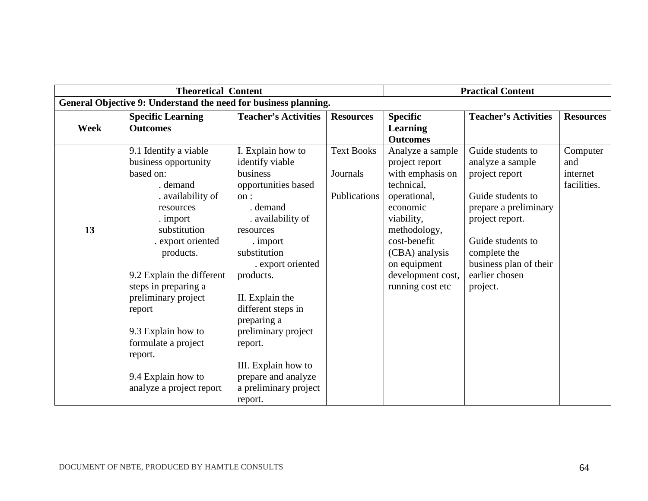| <b>Theoretical Content</b> |                                                                 |                             | <b>Practical Content</b> |                   |                             |                  |
|----------------------------|-----------------------------------------------------------------|-----------------------------|--------------------------|-------------------|-----------------------------|------------------|
|                            | General Objective 9: Understand the need for business planning. |                             |                          |                   |                             |                  |
|                            | <b>Specific Learning</b>                                        | <b>Teacher's Activities</b> | <b>Resources</b>         | <b>Specific</b>   | <b>Teacher's Activities</b> | <b>Resources</b> |
| <b>Week</b>                | <b>Outcomes</b>                                                 |                             |                          | <b>Learning</b>   |                             |                  |
|                            |                                                                 |                             |                          | <b>Outcomes</b>   |                             |                  |
|                            | 9.1 Identify a viable                                           | I. Explain how to           | <b>Text Books</b>        | Analyze a sample  | Guide students to           | Computer         |
|                            | business opportunity                                            | identify viable             |                          | project report    | analyze a sample            | and              |
|                            | based on:                                                       | business                    | Journals                 | with emphasis on  | project report              | internet         |
|                            | . demand                                                        | opportunities based         |                          | technical,        |                             | facilities.      |
|                            | . availability of                                               | on:                         | Publications             | operational,      | Guide students to           |                  |
|                            | resources                                                       | demand                      |                          | economic          | prepare a preliminary       |                  |
|                            | . import                                                        | . availability of           |                          | viability,        | project report.             |                  |
| 13                         | substitution                                                    | resources                   |                          | methodology,      |                             |                  |
|                            | . export oriented                                               | . import                    |                          | cost-benefit      | Guide students to           |                  |
|                            | products.                                                       | substitution                |                          | (CBA) analysis    | complete the                |                  |
|                            |                                                                 | . export oriented           |                          | on equipment      | business plan of their      |                  |
|                            | 9.2 Explain the different                                       | products.                   |                          | development cost, | earlier chosen              |                  |
|                            | steps in preparing a                                            |                             |                          | running cost etc  | project.                    |                  |
|                            | preliminary project                                             | II. Explain the             |                          |                   |                             |                  |
|                            | report                                                          | different steps in          |                          |                   |                             |                  |
|                            |                                                                 | preparing a                 |                          |                   |                             |                  |
|                            | 9.3 Explain how to                                              | preliminary project         |                          |                   |                             |                  |
|                            | formulate a project                                             | report.                     |                          |                   |                             |                  |
|                            | report.                                                         |                             |                          |                   |                             |                  |
|                            |                                                                 | III. Explain how to         |                          |                   |                             |                  |
|                            | 9.4 Explain how to                                              | prepare and analyze         |                          |                   |                             |                  |
|                            | analyze a project report                                        | a preliminary project       |                          |                   |                             |                  |
|                            |                                                                 | report.                     |                          |                   |                             |                  |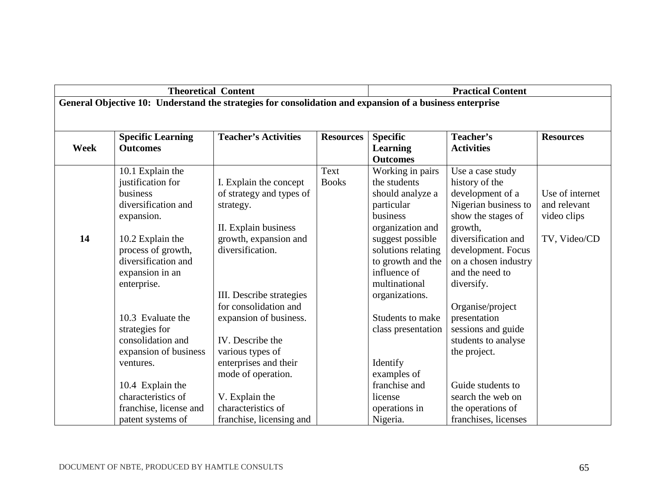|             | <b>Theoretical Content</b> |                                                                                                          |                  | <b>Practical Content</b> |                      |                  |
|-------------|----------------------------|----------------------------------------------------------------------------------------------------------|------------------|--------------------------|----------------------|------------------|
|             |                            | General Objective 10: Understand the strategies for consolidation and expansion of a business enterprise |                  |                          |                      |                  |
|             |                            |                                                                                                          |                  |                          |                      |                  |
|             | <b>Specific Learning</b>   | <b>Teacher's Activities</b>                                                                              | <b>Resources</b> | <b>Specific</b>          | Teacher's            | <b>Resources</b> |
| <b>Week</b> | <b>Outcomes</b>            |                                                                                                          |                  | Learning                 | <b>Activities</b>    |                  |
|             |                            |                                                                                                          |                  | <b>Outcomes</b>          |                      |                  |
|             | 10.1 Explain the           |                                                                                                          | Text             | Working in pairs         | Use a case study     |                  |
|             | justification for          | I. Explain the concept                                                                                   | <b>Books</b>     | the students             | history of the       |                  |
|             | business                   | of strategy and types of                                                                                 |                  | should analyze a         | development of a     | Use of internet  |
|             | diversification and        | strategy.                                                                                                |                  | particular               | Nigerian business to | and relevant     |
|             | expansion.                 |                                                                                                          |                  | business                 | show the stages of   | video clips      |
|             |                            | II. Explain business                                                                                     |                  | organization and         | growth,              |                  |
| 14          | 10.2 Explain the           | growth, expansion and                                                                                    |                  | suggest possible         | diversification and  | TV, Video/CD     |
|             | process of growth,         | diversification.                                                                                         |                  | solutions relating       | development. Focus   |                  |
|             | diversification and        |                                                                                                          |                  | to growth and the        | on a chosen industry |                  |
|             | expansion in an            |                                                                                                          |                  | influence of             | and the need to      |                  |
|             | enterprise.                |                                                                                                          |                  | multinational            | diversify.           |                  |
|             |                            | III. Describe strategies                                                                                 |                  | organizations.           |                      |                  |
|             |                            | for consolidation and                                                                                    |                  |                          | Organise/project     |                  |
|             | 10.3 Evaluate the          | expansion of business.                                                                                   |                  | Students to make         | presentation         |                  |
|             | strategies for             |                                                                                                          |                  | class presentation       | sessions and guide   |                  |
|             | consolidation and          | IV. Describe the                                                                                         |                  |                          | students to analyse  |                  |
|             | expansion of business      | various types of                                                                                         |                  |                          | the project.         |                  |
|             | ventures.                  | enterprises and their                                                                                    |                  | Identify                 |                      |                  |
|             |                            | mode of operation.                                                                                       |                  | examples of              |                      |                  |
|             | 10.4 Explain the           |                                                                                                          |                  | franchise and            | Guide students to    |                  |
|             | characteristics of         | V. Explain the                                                                                           |                  | license                  | search the web on    |                  |
|             | franchise, license and     | characteristics of                                                                                       |                  | operations in            | the operations of    |                  |
|             | patent systems of          | franchise, licensing and                                                                                 |                  | Nigeria.                 | franchises, licenses |                  |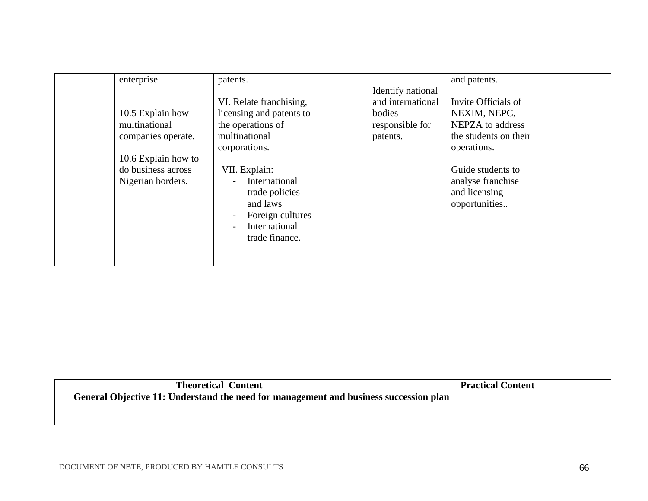| enterprise.<br>patents.<br>VI. Relate franchising,<br>licensing and patents to<br>10.5 Explain how<br>multinational<br>the operations of<br>multinational<br>companies operate.<br>corporations.<br>10.6 Explain how to<br>do business across<br>VII. Explain:<br>Nigerian borders.<br>and laws | Identify national<br>and international<br>bodies<br>responsible for<br>patents.<br>International<br>trade policies<br>Foreign cultures<br>International<br>trade finance. | and patents.<br>Invite Officials of<br>NEXIM, NEPC,<br>NEPZA to address<br>the students on their<br>operations.<br>Guide students to<br>analyse franchise<br>and licensing<br>opportunities |
|-------------------------------------------------------------------------------------------------------------------------------------------------------------------------------------------------------------------------------------------------------------------------------------------------|---------------------------------------------------------------------------------------------------------------------------------------------------------------------------|---------------------------------------------------------------------------------------------------------------------------------------------------------------------------------------------|
|-------------------------------------------------------------------------------------------------------------------------------------------------------------------------------------------------------------------------------------------------------------------------------------------------|---------------------------------------------------------------------------------------------------------------------------------------------------------------------------|---------------------------------------------------------------------------------------------------------------------------------------------------------------------------------------------|

| <b>Theoretical Content</b>                                                            | <b>Practical Content</b> |  |  |  |  |
|---------------------------------------------------------------------------------------|--------------------------|--|--|--|--|
| General Objective 11: Understand the need for management and business succession plan |                          |  |  |  |  |
|                                                                                       |                          |  |  |  |  |
|                                                                                       |                          |  |  |  |  |